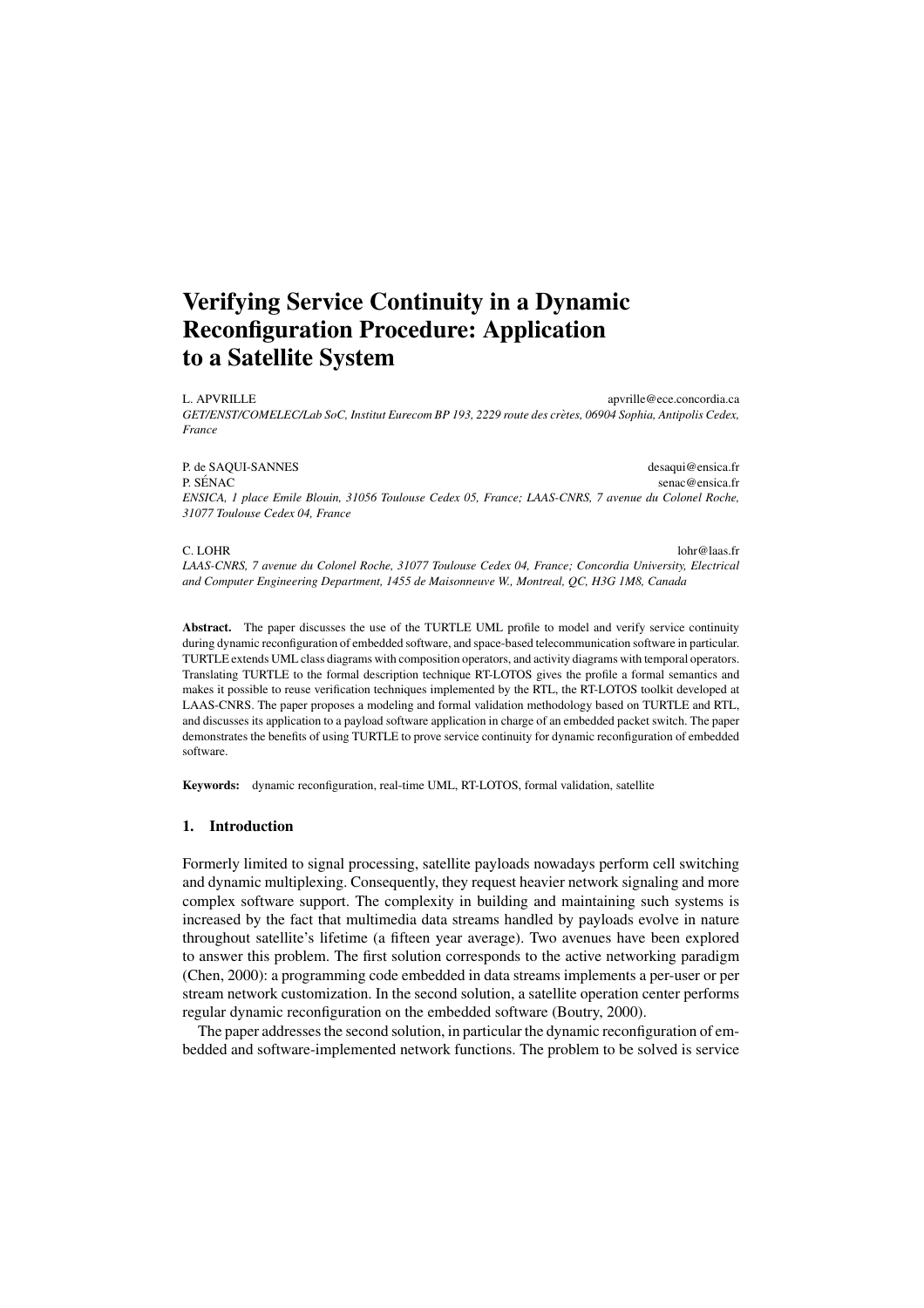# **Verifying Service Continuity in a Dynamic Reconfiguration Procedure: Application to a Satellite System**

L. APVRILLE apvrille@ece.concordia.ca *GET/ENST/COMELEC/Lab SoC, Institut Eurecom BP 193, 2229 route des cretes, 06904 Sophia, Antipolis Cedex, ` France*

P. de SAQUI-SANNES desaqui@ensica.fr P. SÉNAC senac@ensica.fr *ENSICA, 1 place Emile Blouin, 31056 Toulouse Cedex 05, France; LAAS-CNRS, 7 avenue du Colonel Roche, 31077 Toulouse Cedex 04, France*

C. LOHR lohr@laas.fr *LAAS-CNRS, 7 avenue du Colonel Roche, 31077 Toulouse Cedex 04, France; Concordia University, Electrical and Computer Engineering Department, 1455 de Maisonneuve W., Montreal, QC, H3G 1M8, Canada*

**Abstract.** The paper discusses the use of the TURTLE UML profile to model and verify service continuity during dynamic reconfiguration of embedded software, and space-based telecommunication software in particular. TURTLE extends UML class diagrams with composition operators, and activity diagrams with temporal operators. Translating TURTLE to the formal description technique RT-LOTOS gives the profile a formal semantics and makes it possible to reuse verification techniques implemented by the RTL, the RT-LOTOS toolkit developed at LAAS-CNRS. The paper proposes a modeling and formal validation methodology based on TURTLE and RTL, and discusses its application to a payload software application in charge of an embedded packet switch. The paper demonstrates the benefits of using TURTLE to prove service continuity for dynamic reconfiguration of embedded software.

**Keywords:** dynamic reconfiguration, real-time UML, RT-LOTOS, formal validation, satellite

# **1. Introduction**

Formerly limited to signal processing, satellite payloads nowadays perform cell switching and dynamic multiplexing. Consequently, they request heavier network signaling and more complex software support. The complexity in building and maintaining such systems is increased by the fact that multimedia data streams handled by payloads evolve in nature throughout satellite's lifetime (a fifteen year average). Two avenues have been explored to answer this problem. The first solution corresponds to the active networking paradigm (Chen, 2000): a programming code embedded in data streams implements a per-user or per stream network customization. In the second solution, a satellite operation center performs regular dynamic reconfiguration on the embedded software (Boutry, 2000).

The paper addresses the second solution, in particular the dynamic reconfiguration of embedded and software-implemented network functions. The problem to be solved is service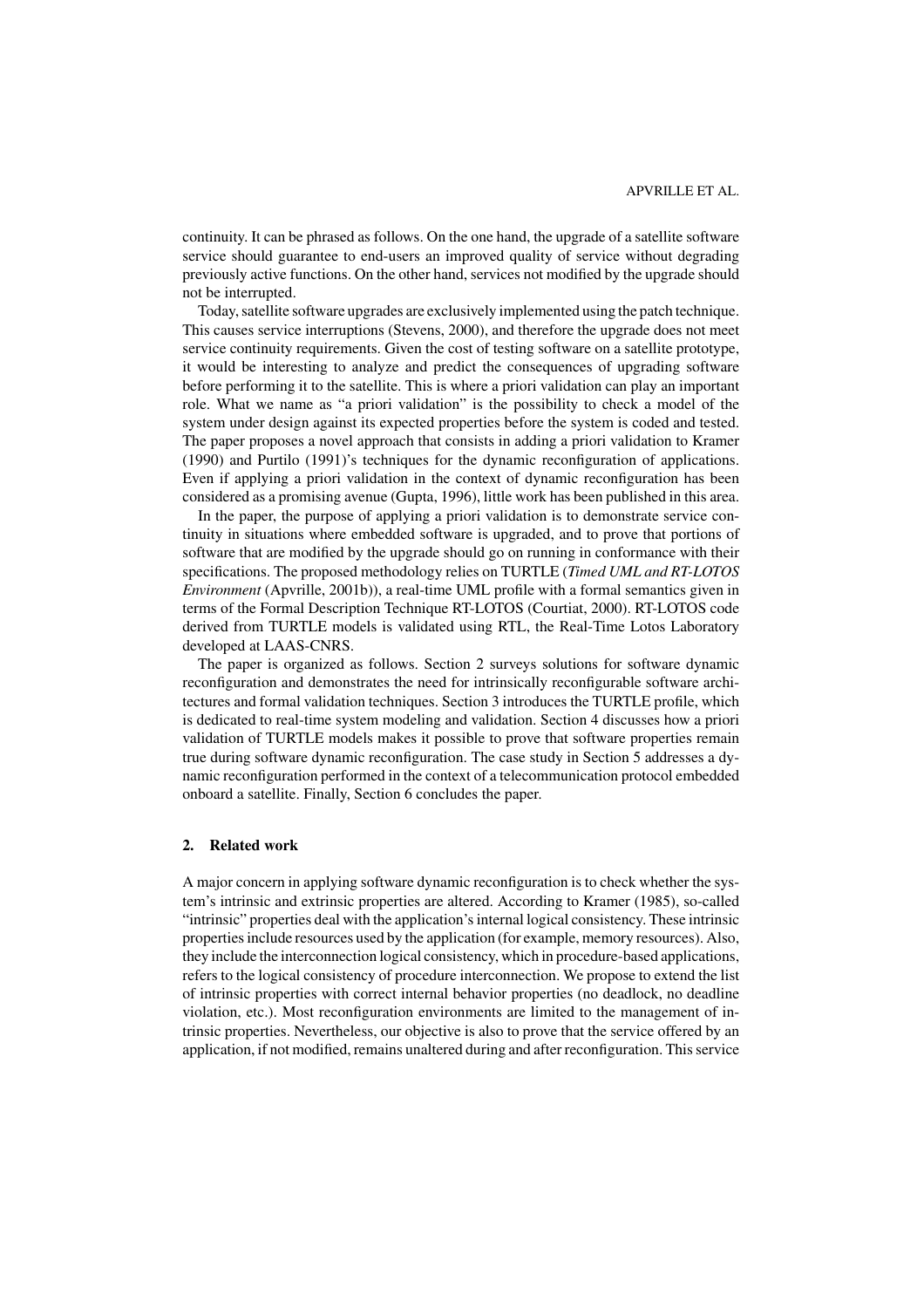continuity. It can be phrased as follows. On the one hand, the upgrade of a satellite software service should guarantee to end-users an improved quality of service without degrading previously active functions. On the other hand, services not modified by the upgrade should not be interrupted.

Today, satellite software upgrades are exclusively implemented using the patch technique. This causes service interruptions (Stevens, 2000), and therefore the upgrade does not meet service continuity requirements. Given the cost of testing software on a satellite prototype, it would be interesting to analyze and predict the consequences of upgrading software before performing it to the satellite. This is where a priori validation can play an important role. What we name as "a priori validation" is the possibility to check a model of the system under design against its expected properties before the system is coded and tested. The paper proposes a novel approach that consists in adding a priori validation to Kramer (1990) and Purtilo (1991)'s techniques for the dynamic reconfiguration of applications. Even if applying a priori validation in the context of dynamic reconfiguration has been considered as a promising avenue (Gupta, 1996), little work has been published in this area.

In the paper, the purpose of applying a priori validation is to demonstrate service continuity in situations where embedded software is upgraded, and to prove that portions of software that are modified by the upgrade should go on running in conformance with their specifications. The proposed methodology relies on TURTLE (*Timed UML and RT-LOTOS Environment* (Apvrille, 2001b)), a real-time UML profile with a formal semantics given in terms of the Formal Description Technique RT-LOTOS (Courtiat, 2000). RT-LOTOS code derived from TURTLE models is validated using RTL, the Real-Time Lotos Laboratory developed at LAAS-CNRS.

The paper is organized as follows. Section 2 surveys solutions for software dynamic reconfiguration and demonstrates the need for intrinsically reconfigurable software architectures and formal validation techniques. Section 3 introduces the TURTLE profile, which is dedicated to real-time system modeling and validation. Section 4 discusses how a priori validation of TURTLE models makes it possible to prove that software properties remain true during software dynamic reconfiguration. The case study in Section 5 addresses a dynamic reconfiguration performed in the context of a telecommunication protocol embedded onboard a satellite. Finally, Section 6 concludes the paper.

# **2. Related work**

A major concern in applying software dynamic reconfiguration is to check whether the system's intrinsic and extrinsic properties are altered. According to Kramer (1985), so-called "intrinsic" properties deal with the application's internal logical consistency. These intrinsic properties include resources used by the application (for example, memory resources). Also, they include the interconnection logical consistency, which in procedure-based applications, refers to the logical consistency of procedure interconnection. We propose to extend the list of intrinsic properties with correct internal behavior properties (no deadlock, no deadline violation, etc.). Most reconfiguration environments are limited to the management of intrinsic properties. Nevertheless, our objective is also to prove that the service offered by an application, if not modified, remains unaltered during and after reconfiguration. This service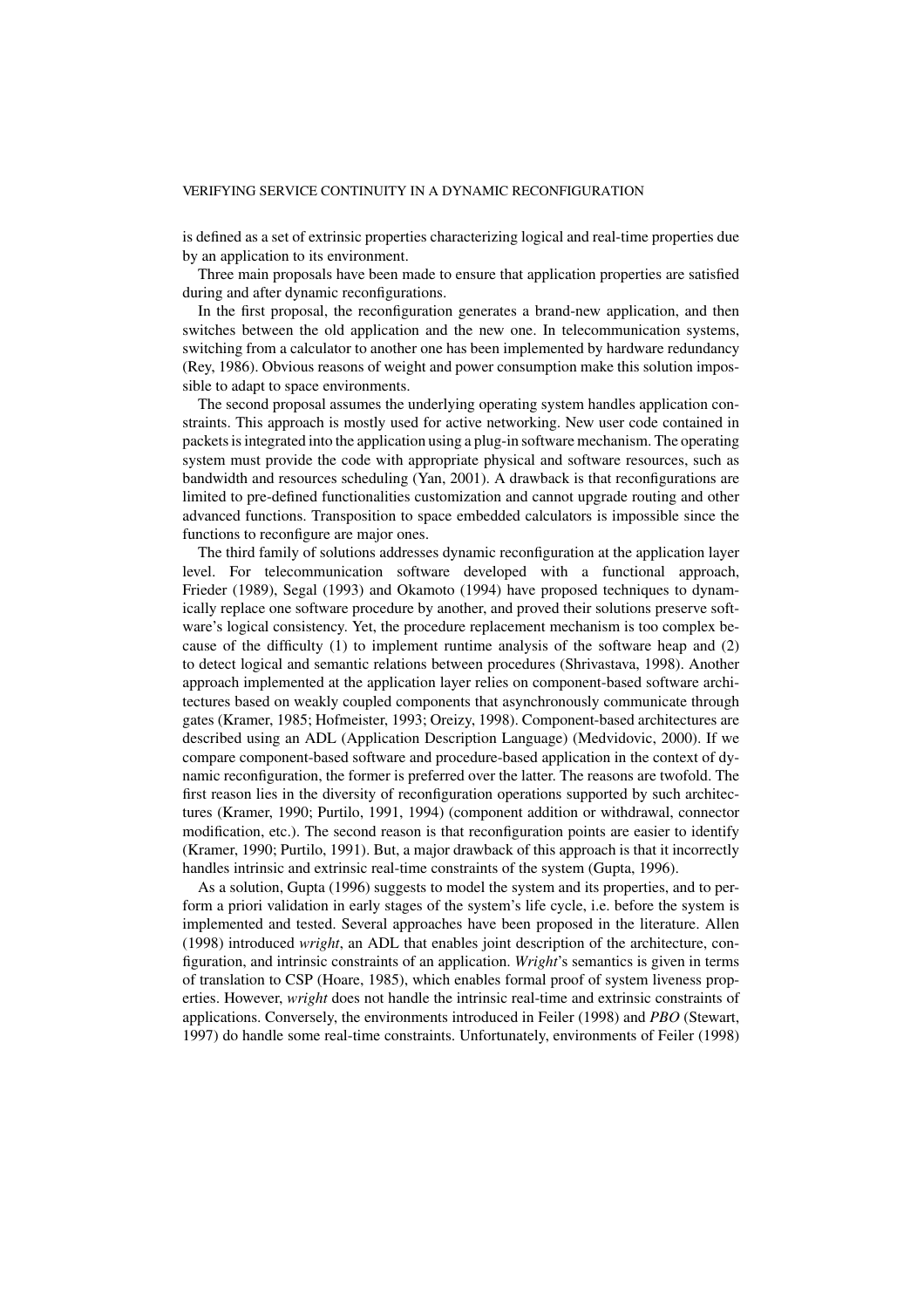is defined as a set of extrinsic properties characterizing logical and real-time properties due by an application to its environment.

Three main proposals have been made to ensure that application properties are satisfied during and after dynamic reconfigurations.

In the first proposal, the reconfiguration generates a brand-new application, and then switches between the old application and the new one. In telecommunication systems, switching from a calculator to another one has been implemented by hardware redundancy (Rey, 1986). Obvious reasons of weight and power consumption make this solution impossible to adapt to space environments.

The second proposal assumes the underlying operating system handles application constraints. This approach is mostly used for active networking. New user code contained in packets is integrated into the application using a plug-in software mechanism. The operating system must provide the code with appropriate physical and software resources, such as bandwidth and resources scheduling (Yan, 2001). A drawback is that reconfigurations are limited to pre-defined functionalities customization and cannot upgrade routing and other advanced functions. Transposition to space embedded calculators is impossible since the functions to reconfigure are major ones.

The third family of solutions addresses dynamic reconfiguration at the application layer level. For telecommunication software developed with a functional approach, Frieder (1989), Segal (1993) and Okamoto (1994) have proposed techniques to dynamically replace one software procedure by another, and proved their solutions preserve software's logical consistency. Yet, the procedure replacement mechanism is too complex because of the difficulty (1) to implement runtime analysis of the software heap and (2) to detect logical and semantic relations between procedures (Shrivastava, 1998). Another approach implemented at the application layer relies on component-based software architectures based on weakly coupled components that asynchronously communicate through gates (Kramer, 1985; Hofmeister, 1993; Oreizy, 1998). Component-based architectures are described using an ADL (Application Description Language) (Medvidovic, 2000). If we compare component-based software and procedure-based application in the context of dynamic reconfiguration, the former is preferred over the latter. The reasons are twofold. The first reason lies in the diversity of reconfiguration operations supported by such architectures (Kramer, 1990; Purtilo, 1991, 1994) (component addition or withdrawal, connector modification, etc.). The second reason is that reconfiguration points are easier to identify (Kramer, 1990; Purtilo, 1991). But, a major drawback of this approach is that it incorrectly handles intrinsic and extrinsic real-time constraints of the system (Gupta, 1996).

As a solution, Gupta (1996) suggests to model the system and its properties, and to perform a priori validation in early stages of the system's life cycle, i.e. before the system is implemented and tested. Several approaches have been proposed in the literature. Allen (1998) introduced *wright*, an ADL that enables joint description of the architecture, configuration, and intrinsic constraints of an application. *Wright*'s semantics is given in terms of translation to CSP (Hoare, 1985), which enables formal proof of system liveness properties. However, *wright* does not handle the intrinsic real-time and extrinsic constraints of applications. Conversely, the environments introduced in Feiler (1998) and *PBO* (Stewart, 1997) do handle some real-time constraints. Unfortunately, environments of Feiler (1998)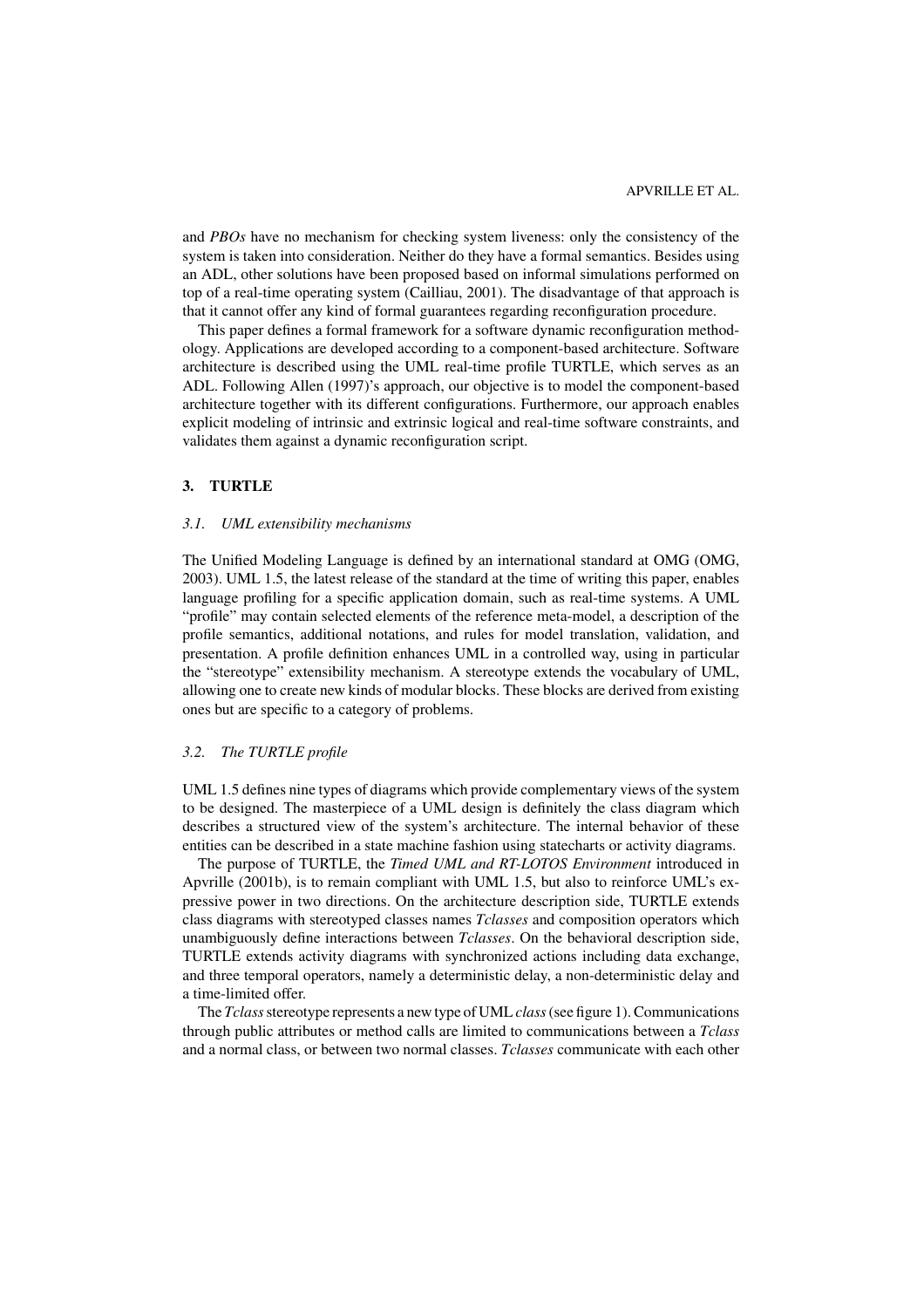and *PBOs* have no mechanism for checking system liveness: only the consistency of the system is taken into consideration. Neither do they have a formal semantics. Besides using an ADL, other solutions have been proposed based on informal simulations performed on top of a real-time operating system (Cailliau, 2001). The disadvantage of that approach is that it cannot offer any kind of formal guarantees regarding reconfiguration procedure.

This paper defines a formal framework for a software dynamic reconfiguration methodology. Applications are developed according to a component-based architecture. Software architecture is described using the UML real-time profile TURTLE, which serves as an ADL. Following Allen (1997)'s approach, our objective is to model the component-based architecture together with its different configurations. Furthermore, our approach enables explicit modeling of intrinsic and extrinsic logical and real-time software constraints, and validates them against a dynamic reconfiguration script.

# **3. TURTLE**

# *3.1. UML extensibility mechanisms*

The Unified Modeling Language is defined by an international standard at OMG (OMG, 2003). UML 1.5, the latest release of the standard at the time of writing this paper, enables language profiling for a specific application domain, such as real-time systems. A UML "profile" may contain selected elements of the reference meta-model, a description of the profile semantics, additional notations, and rules for model translation, validation, and presentation. A profile definition enhances UML in a controlled way, using in particular the "stereotype" extensibility mechanism. A stereotype extends the vocabulary of UML, allowing one to create new kinds of modular blocks. These blocks are derived from existing ones but are specific to a category of problems.

#### *3.2. The TURTLE profile*

UML 1.5 defines nine types of diagrams which provide complementary views of the system to be designed. The masterpiece of a UML design is definitely the class diagram which describes a structured view of the system's architecture. The internal behavior of these entities can be described in a state machine fashion using statecharts or activity diagrams.

The purpose of TURTLE, the *Timed UML and RT-LOTOS Environment* introduced in Apvrille (2001b), is to remain compliant with UML 1.5, but also to reinforce UML's expressive power in two directions. On the architecture description side, TURTLE extends class diagrams with stereotyped classes names *Tclasses* and composition operators which unambiguously define interactions between *Tclasses*. On the behavioral description side, TURTLE extends activity diagrams with synchronized actions including data exchange, and three temporal operators, namely a deterministic delay, a non-deterministic delay and a time-limited offer.

The *Tclass*stereotype represents a new type of UML *class*(see figure 1). Communications through public attributes or method calls are limited to communications between a *Tclass* and a normal class, or between two normal classes. *Tclasses* communicate with each other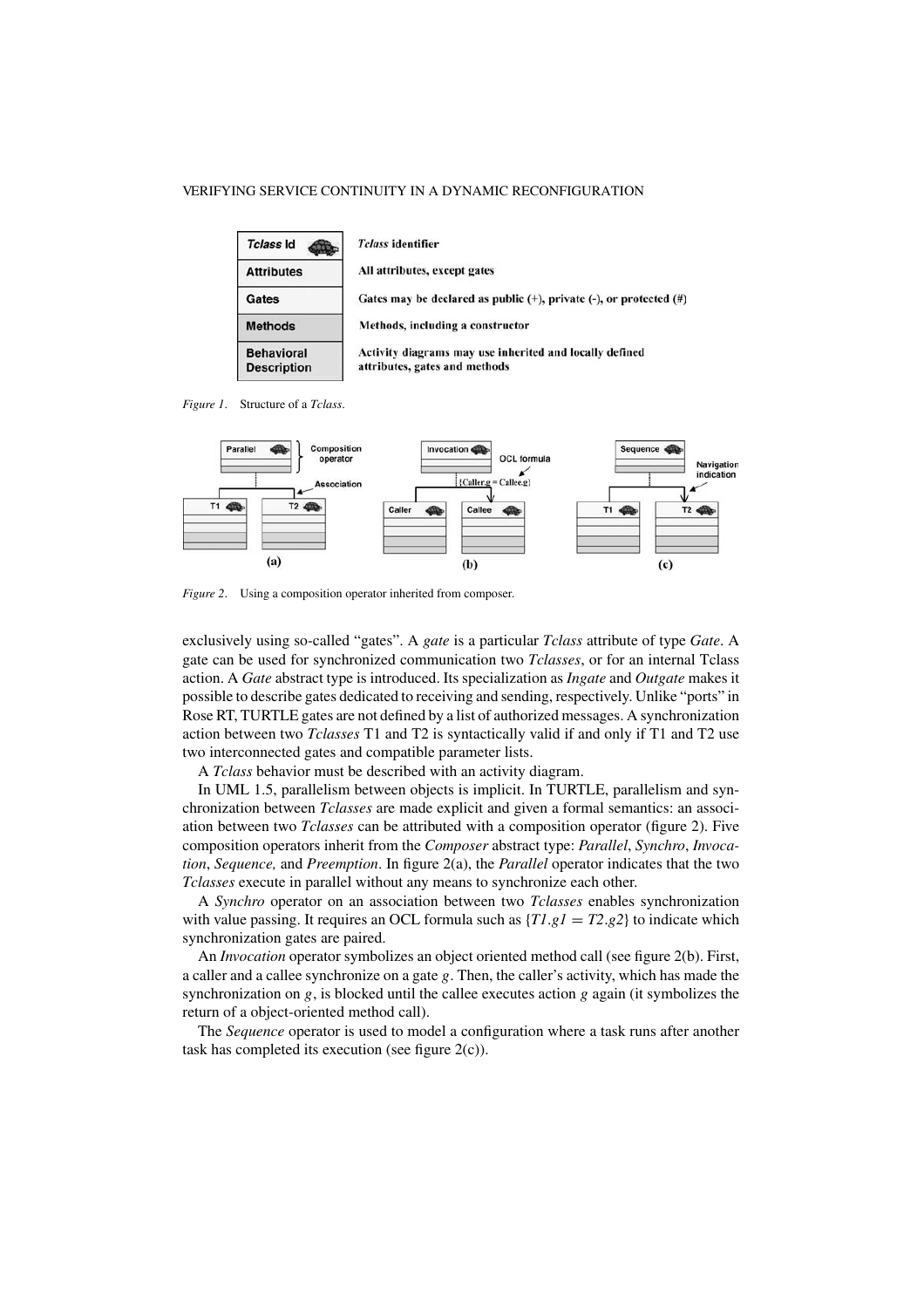| Tclass Id                               | <i>Tclass</i> identifier                                                                 |
|-----------------------------------------|------------------------------------------------------------------------------------------|
| <b>Attributes</b>                       | All attributes, except gates                                                             |
| Gates                                   | Gates may be declared as public $(+)$ , private $(-)$ , or protected $(#)$               |
| <b>Methods</b>                          | Methods, including a constructor                                                         |
| <b>Behavioral</b><br><b>Description</b> | Activity diagrams may use inherited and locally defined<br>attributes, gates and methods |

*Figure 1*. Structure of a *Tclass*.



*Figure 2*. Using a composition operator inherited from composer.

exclusively using so-called "gates". A *gate* is a particular *Tclass* attribute of type *Gate*. A gate can be used for synchronized communication two *Tclasses*, or for an internal Tclass action. A *Gate* abstract type is introduced. Its specialization as *Ingate* and *Outgate* makes it possible to describe gates dedicated to receiving and sending, respectively. Unlike "ports" in Rose RT, TURTLE gates are not defined by a list of authorized messages. A synchronization action between two *Tclasses* T1 and T2 is syntactically valid if and only if T1 and T2 use two interconnected gates and compatible parameter lists.

A *Tclass* behavior must be described with an activity diagram.

In UML 1.5, parallelism between objects is implicit. In TURTLE, parallelism and synchronization between *Tclasses* are made explicit and given a formal semantics: an association between two *Tclasses* can be attributed with a composition operator (figure 2). Five composition operators inherit from the *Composer* abstract type: *Parallel*, *Synchro*, *Invocation*, *Sequence,* and *Preemption*. In figure 2(a), the *Parallel* operator indicates that the two *Tclasses* execute in parallel without any means to synchronize each other.

A *Synchro* operator on an association between two *Tclasses* enables synchronization with value passing. It requires an OCL formula such as  $\{T1, g1 = T2, g2\}$  to indicate which synchronization gates are paired.

An *Invocation* operator symbolizes an object oriented method call (see figure 2(b). First, a caller and a callee synchronize on a gate *g*. Then, the caller's activity, which has made the synchronization on *g*, is blocked until the callee executes action *g* again (it symbolizes the return of a object-oriented method call).

The *Sequence* operator is used to model a configuration where a task runs after another task has completed its execution (see figure  $2(c)$ ).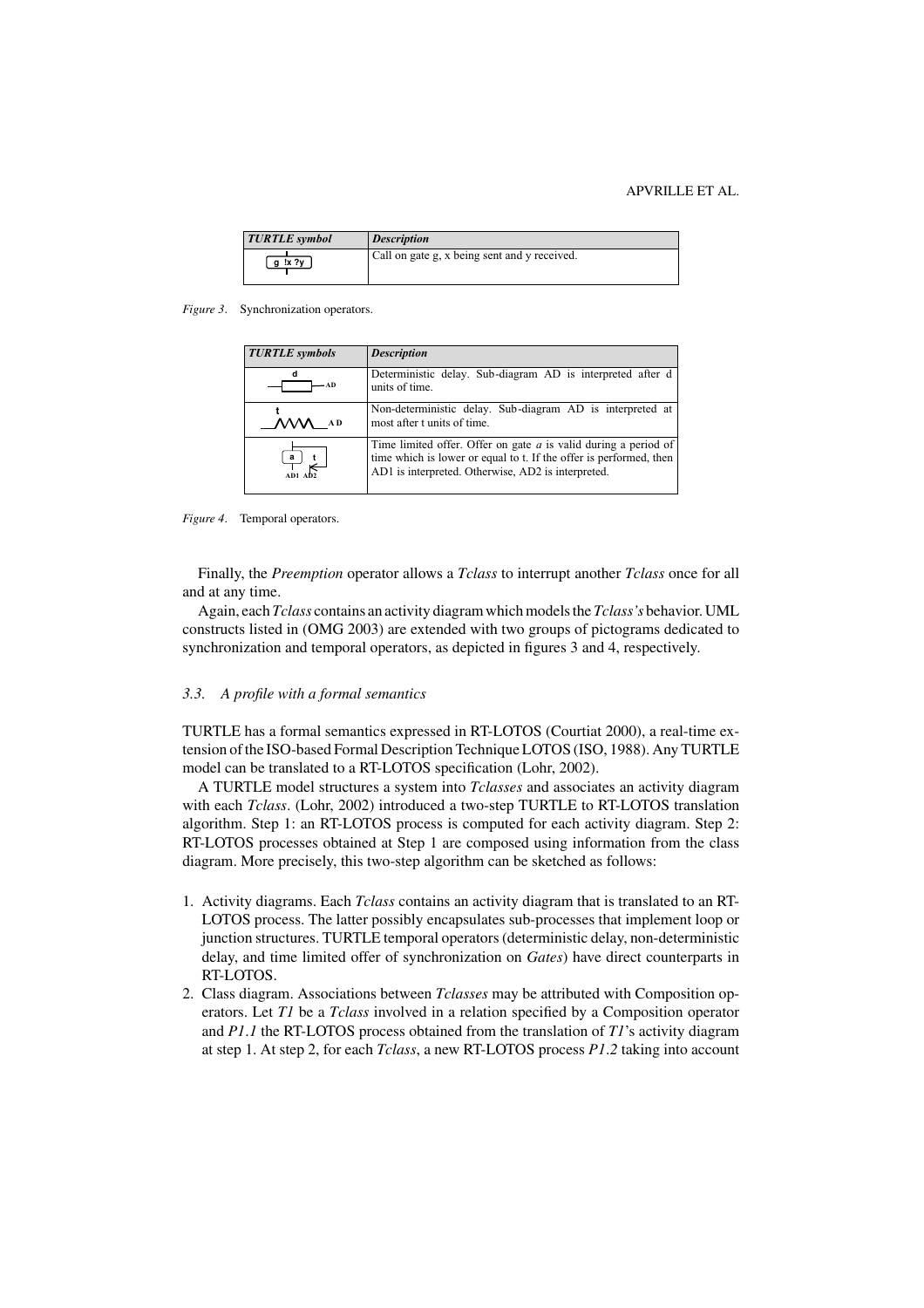#### APVRILLE ET AL.

| <b>TURTLE</b> symbol | <i>Description</i>                           |
|----------------------|----------------------------------------------|
| g!x?y                | Call on gate g, x being sent and y received. |

*Figure 3*. Synchronization operators.

| <b>TURTLE</b> symbols               | <b>Description</b>                                                                                                                                                                            |
|-------------------------------------|-----------------------------------------------------------------------------------------------------------------------------------------------------------------------------------------------|
| – A D                               | Deterministic delay. Sub-diagram AD is interpreted after d<br>units of time.                                                                                                                  |
|                                     | Non-deterministic delay. Sub-diagram AD is interpreted at<br>most after t units of time.                                                                                                      |
| $\frac{a}{\sqrt{a}}\Big _{AD2}^{t}$ | Time limited offer. Offer on gate $a$ is valid during a period of<br>time which is lower or equal to t. If the offer is performed, then<br>AD1 is interpreted. Otherwise, AD2 is interpreted. |

*Figure 4*. Temporal operators.

Finally, the *Preemption* operator allows a *Tclass* to interrupt another *Tclass* once for all and at any time.

Again, each *Tclass* contains an activity diagram which models the *Tclass's* behavior. UML constructs listed in (OMG 2003) are extended with two groups of pictograms dedicated to synchronization and temporal operators, as depicted in figures 3 and 4, respectively.

#### *3.3. A profile with a formal semantics*

TURTLE has a formal semantics expressed in RT-LOTOS (Courtiat 2000), a real-time extension of the ISO-based Formal Description Technique LOTOS (ISO, 1988). Any TURTLE model can be translated to a RT-LOTOS specification (Lohr, 2002).

A TURTLE model structures a system into *Tclasses* and associates an activity diagram with each *Tclass*. (Lohr, 2002) introduced a two-step TURTLE to RT-LOTOS translation algorithm. Step 1: an RT-LOTOS process is computed for each activity diagram. Step 2: RT-LOTOS processes obtained at Step 1 are composed using information from the class diagram. More precisely, this two-step algorithm can be sketched as follows:

- 1. Activity diagrams. Each *Tclass* contains an activity diagram that is translated to an RT-LOTOS process. The latter possibly encapsulates sub-processes that implement loop or junction structures. TURTLE temporal operators (deterministic delay, non-deterministic delay, and time limited offer of synchronization on *Gates*) have direct counterparts in RT-LOTOS.
- 2. Class diagram. Associations between *Tclasses* may be attributed with Composition operators. Let *T1* be a *Tclass* involved in a relation specified by a Composition operator and *P1*.*1* the RT-LOTOS process obtained from the translation of *T1*'s activity diagram at step 1. At step 2, for each *Tclass*, a new RT-LOTOS process *P1*.*2* taking into account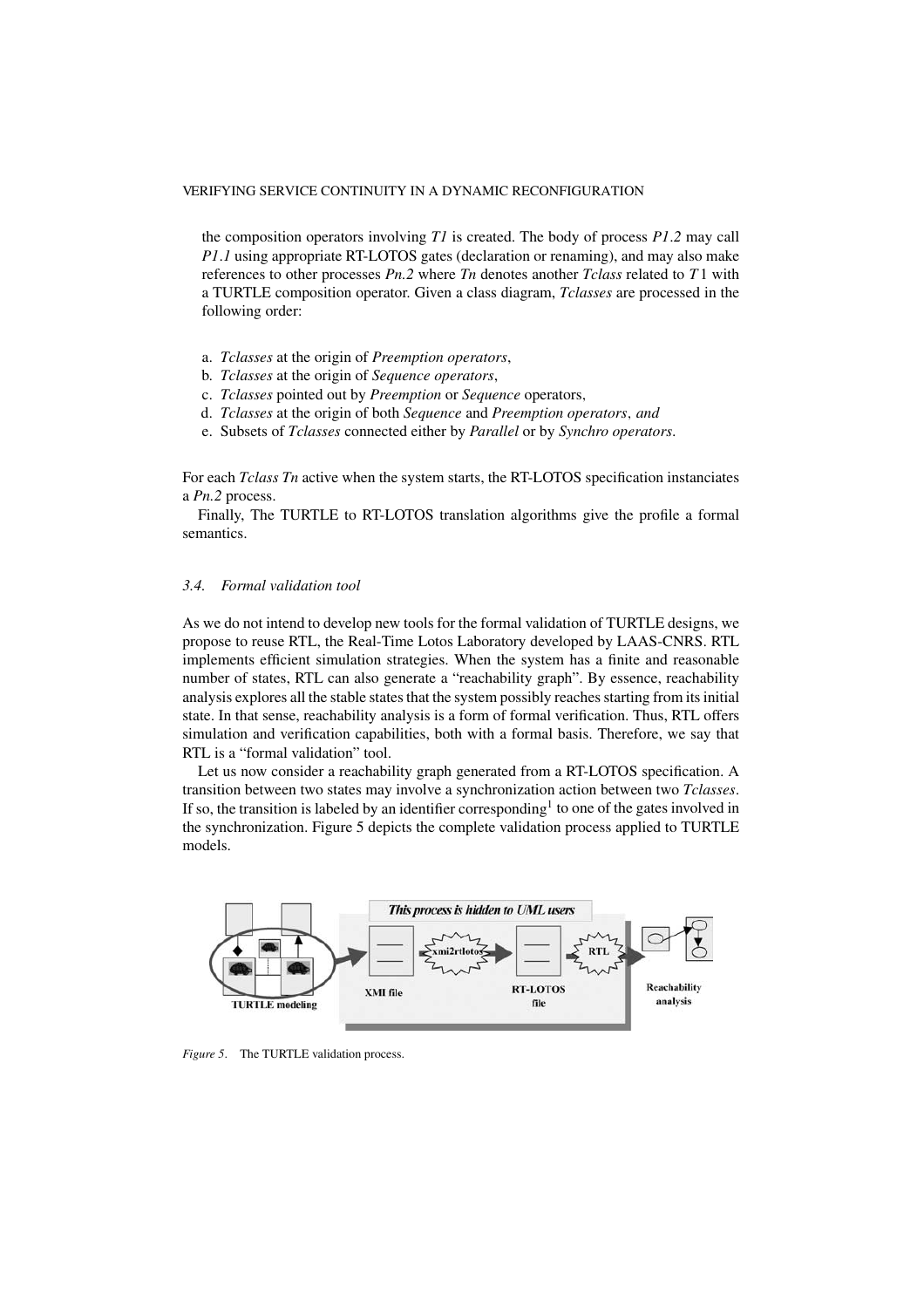the composition operators involving *T1* is created. The body of process *P1*.*2* may call *P1.1* using appropriate RT-LOTOS gates (declaration or renaming), and may also make references to other processes *Pn.2* where *Tn* denotes another *Tclass* related to *T* 1 with a TURTLE composition operator. Given a class diagram, *Tclasses* are processed in the following order:

- a. *Tclasses* at the origin of *Preemption operators*,
- b. *Tclasses* at the origin of *Sequence operators*,
- c. *Tclasses* pointed out by *Preemption* or *Sequence* operators,
- d. *Tclasses* at the origin of both *Sequence* and *Preemption operators*, *and*
- e. Subsets of *Tclasses* connected either by *Parallel* or by *Synchro operators*.

For each *Tclass Tn* active when the system starts, the RT-LOTOS specification instanciates a *Pn.2* process.

Finally, The TURTLE to RT-LOTOS translation algorithms give the profile a formal semantics.

# *3.4. Formal validation tool*

As we do not intend to develop new tools for the formal validation of TURTLE designs, we propose to reuse RTL, the Real-Time Lotos Laboratory developed by LAAS-CNRS. RTL implements efficient simulation strategies. When the system has a finite and reasonable number of states, RTL can also generate a "reachability graph". By essence, reachability analysis explores all the stable states that the system possibly reaches starting from its initial state. In that sense, reachability analysis is a form of formal verification. Thus, RTL offers simulation and verification capabilities, both with a formal basis. Therefore, we say that RTL is a "formal validation" tool.

Let us now consider a reachability graph generated from a RT-LOTOS specification. A transition between two states may involve a synchronization action between two *Tclasses*. If so, the transition is labeled by an identifier corresponding<sup>1</sup> to one of the gates involved in the synchronization. Figure 5 depicts the complete validation process applied to TURTLE models.



*Figure 5*. The TURTLE validation process.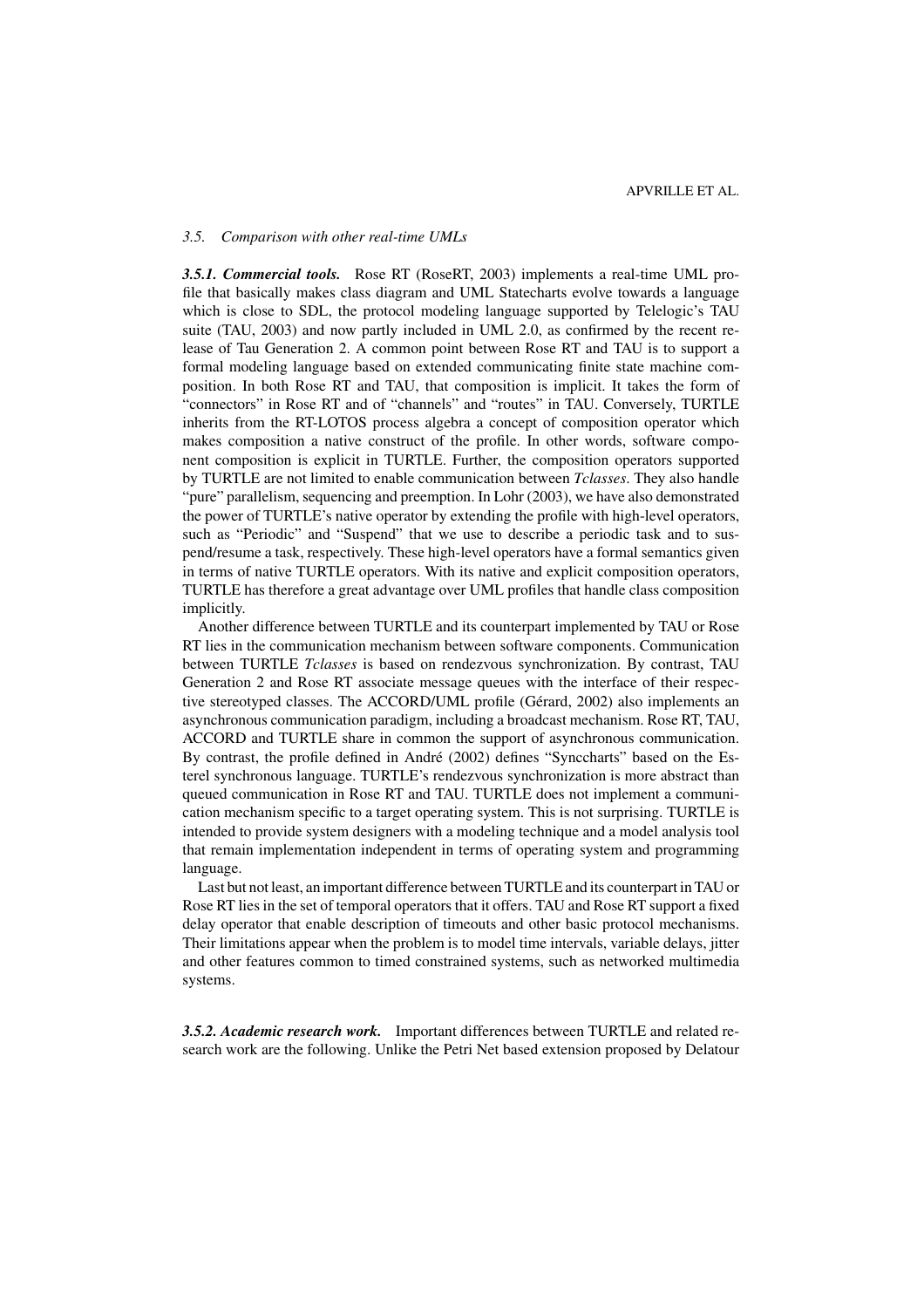#### *3.5. Comparison with other real-time UMLs*

*3.5.1. Commercial tools.* Rose RT (RoseRT, 2003) implements a real-time UML profile that basically makes class diagram and UML Statecharts evolve towards a language which is close to SDL, the protocol modeling language supported by Telelogic's TAU suite (TAU, 2003) and now partly included in UML 2.0, as confirmed by the recent release of Tau Generation 2. A common point between Rose RT and TAU is to support a formal modeling language based on extended communicating finite state machine composition. In both Rose RT and TAU, that composition is implicit. It takes the form of "connectors" in Rose RT and of "channels" and "routes" in TAU. Conversely, TURTLE inherits from the RT-LOTOS process algebra a concept of composition operator which makes composition a native construct of the profile. In other words, software component composition is explicit in TURTLE. Further, the composition operators supported by TURTLE are not limited to enable communication between *Tclasses*. They also handle "pure" parallelism, sequencing and preemption. In Lohr (2003), we have also demonstrated the power of TURTLE's native operator by extending the profile with high-level operators, such as "Periodic" and "Suspend" that we use to describe a periodic task and to suspend/resume a task, respectively. These high-level operators have a formal semantics given in terms of native TURTLE operators. With its native and explicit composition operators, TURTLE has therefore a great advantage over UML profiles that handle class composition implicitly.

Another difference between TURTLE and its counterpart implemented by TAU or Rose RT lies in the communication mechanism between software components. Communication between TURTLE *Tclasses* is based on rendezvous synchronization. By contrast, TAU Generation 2 and Rose RT associate message queues with the interface of their respective stereotyped classes. The ACCORD/UML profile (Gérard, 2002) also implements an asynchronous communication paradigm, including a broadcast mechanism. Rose RT, TAU, ACCORD and TURTLE share in common the support of asynchronous communication. By contrast, the profile defined in André (2002) defines "Synccharts" based on the Esterel synchronous language. TURTLE's rendezvous synchronization is more abstract than queued communication in Rose RT and TAU. TURTLE does not implement a communication mechanism specific to a target operating system. This is not surprising. TURTLE is intended to provide system designers with a modeling technique and a model analysis tool that remain implementation independent in terms of operating system and programming language.

Last but not least, an important difference between TURTLE and its counterpart in TAU or Rose RT lies in the set of temporal operators that it offers. TAU and Rose RT support a fixed delay operator that enable description of timeouts and other basic protocol mechanisms. Their limitations appear when the problem is to model time intervals, variable delays, jitter and other features common to timed constrained systems, such as networked multimedia systems.

*3.5.2. Academic research work.* Important differences between TURTLE and related research work are the following. Unlike the Petri Net based extension proposed by Delatour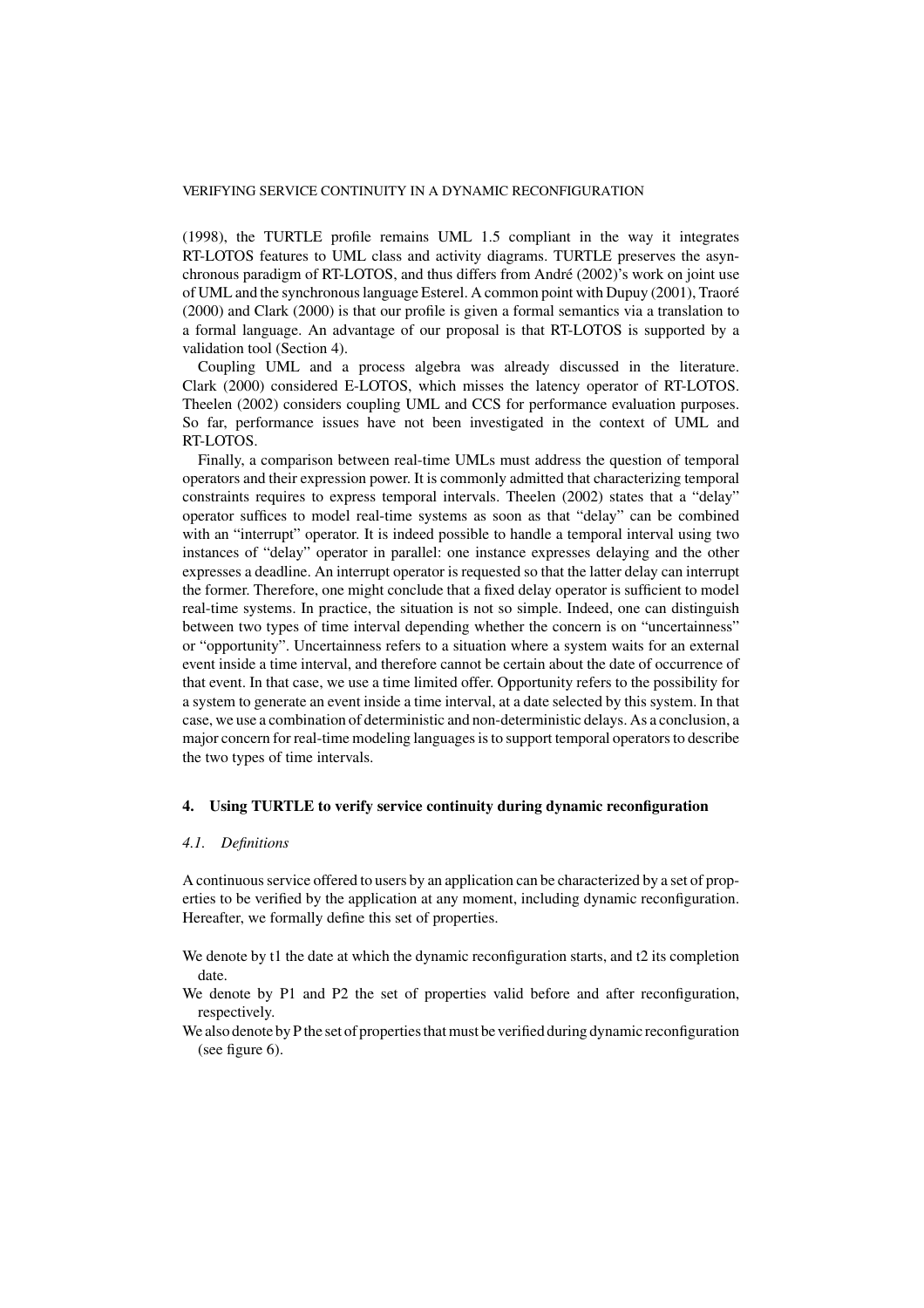(1998), the TURTLE profile remains UML 1.5 compliant in the way it integrates RT-LOTOS features to UML class and activity diagrams. TURTLE preserves the asynchronous paradigm of RT-LOTOS, and thus differs from André (2002)'s work on joint use of UML and the synchronous language Esterel. A common point with Dupuy (2001), Traoré (2000) and Clark (2000) is that our profile is given a formal semantics via a translation to a formal language. An advantage of our proposal is that RT-LOTOS is supported by a validation tool (Section 4).

Coupling UML and a process algebra was already discussed in the literature. Clark (2000) considered E-LOTOS, which misses the latency operator of RT-LOTOS. Theelen (2002) considers coupling UML and CCS for performance evaluation purposes. So far, performance issues have not been investigated in the context of UML and RT-LOTOS.

Finally, a comparison between real-time UMLs must address the question of temporal operators and their expression power. It is commonly admitted that characterizing temporal constraints requires to express temporal intervals. Theelen (2002) states that a "delay" operator suffices to model real-time systems as soon as that "delay" can be combined with an "interrupt" operator. It is indeed possible to handle a temporal interval using two instances of "delay" operator in parallel: one instance expresses delaying and the other expresses a deadline. An interrupt operator is requested so that the latter delay can interrupt the former. Therefore, one might conclude that a fixed delay operator is sufficient to model real-time systems. In practice, the situation is not so simple. Indeed, one can distinguish between two types of time interval depending whether the concern is on "uncertainness" or "opportunity". Uncertainness refers to a situation where a system waits for an external event inside a time interval, and therefore cannot be certain about the date of occurrence of that event. In that case, we use a time limited offer. Opportunity refers to the possibility for a system to generate an event inside a time interval, at a date selected by this system. In that case, we use a combination of deterministic and non-deterministic delays. As a conclusion, a major concern for real-time modeling languages is to support temporal operators to describe the two types of time intervals.

# **4. Using TURTLE to verify service continuity during dynamic reconfiguration**

# *4.1. Definitions*

A continuous service offered to users by an application can be characterized by a set of properties to be verified by the application at any moment, including dynamic reconfiguration. Hereafter, we formally define this set of properties.

- We denote by t1 the date at which the dynamic reconfiguration starts, and t2 its completion date.
- We denote by P1 and P2 the set of properties valid before and after reconfiguration, respectively.
- We also denote by P the set of properties that must be verified during dynamic reconfiguration (see figure 6).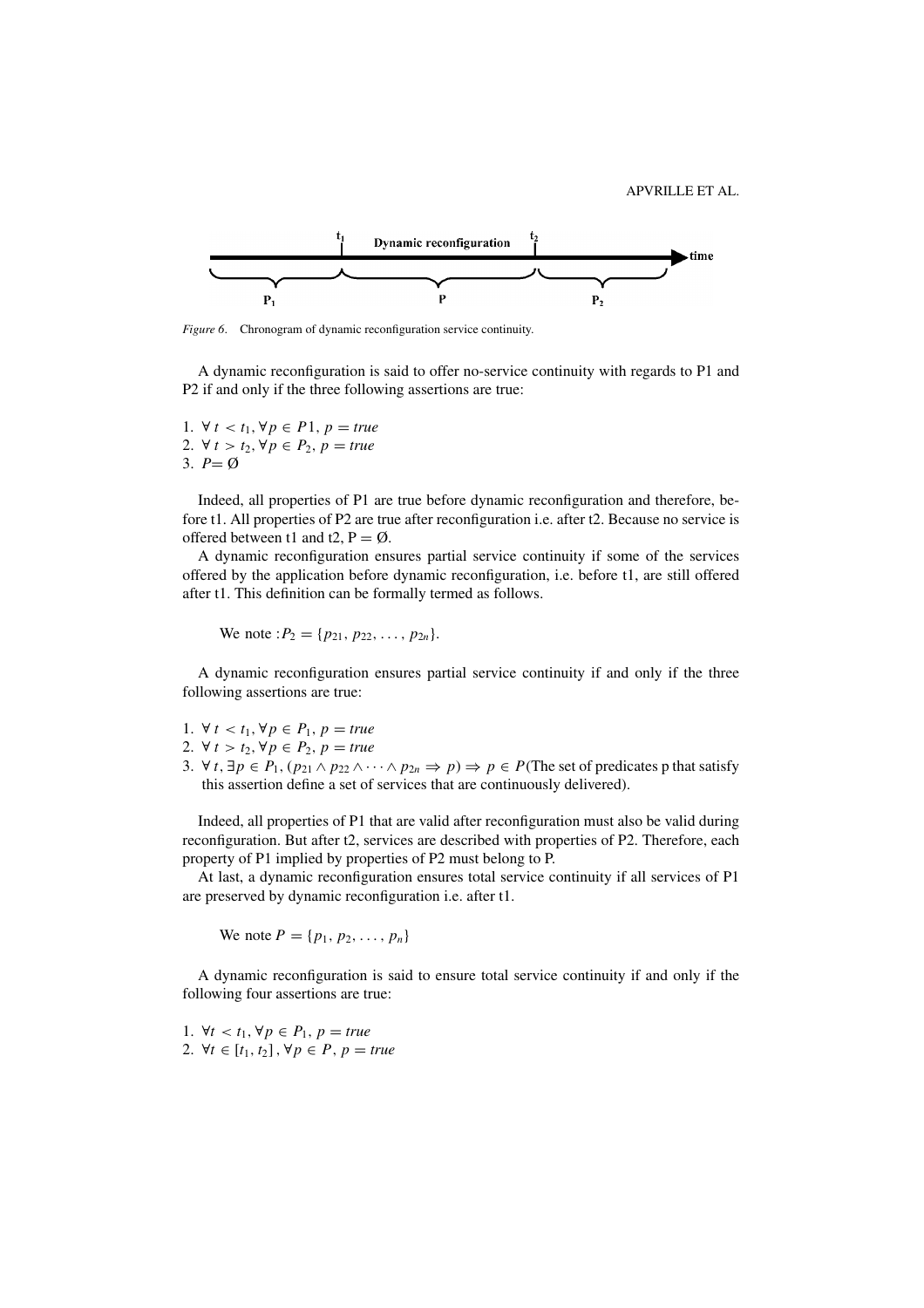

*Figure 6*. Chronogram of dynamic reconfiguration service continuity.

A dynamic reconfiguration is said to offer no-service continuity with regards to P1 and P2 if and only if the three following assertions are true:

1. ∀ *t* < *t*1, ∀*p* ∈ *P*1, *p* = *true* 2. ∀ *t* > *t*<sub>2</sub>, ∀ *p* ∈ *P*<sub>2</sub>, *p* = *true* 3.  $P = \emptyset$ 

Indeed, all properties of P1 are true before dynamic reconfiguration and therefore, before t1. All properties of P2 are true after reconfiguration i.e. after t2. Because no service is offered between t1 and t2,  $P = \emptyset$ .

A dynamic reconfiguration ensures partial service continuity if some of the services offered by the application before dynamic reconfiguration, i.e. before t1, are still offered after t1. This definition can be formally termed as follows.

We note :  $P_2 = \{p_{21}, p_{22}, \ldots, p_{2n}\}.$ 

A dynamic reconfiguration ensures partial service continuity if and only if the three following assertions are true:

- 1. ∀ *t* < *t*1, ∀*p* ∈ *P*1, *p* = *true*
- 2. ∀ *t* > *t*<sub>2</sub>, ∀ *p* ∈ *P*<sub>2</sub>, *p* = *true*
- 3. ∀ *t*, ∃ $p \in P_1$ ,  $(p_{21} \land p_{22} \land \cdots \land p_{2n} \Rightarrow p) \Rightarrow p \in P$ (The set of predicates p that satisfy this assertion define a set of services that are continuously delivered).

Indeed, all properties of P1 that are valid after reconfiguration must also be valid during reconfiguration. But after t2, services are described with properties of P2. Therefore, each property of P1 implied by properties of P2 must belong to P.

At last, a dynamic reconfiguration ensures total service continuity if all services of P1 are preserved by dynamic reconfiguration i.e. after t1.

We note  $P = \{p_1, p_2, \ldots, p_n\}$ 

A dynamic reconfiguration is said to ensure total service continuity if and only if the following four assertions are true:

1. ∀*t* < *t*<sub>1</sub>, ∀*p* ∈ *P*<sub>1</sub>, *p* = *true* 2. ∀*t* ∈ [*t*1, *t*2] , ∀*p* ∈ *P*, *p* = *true*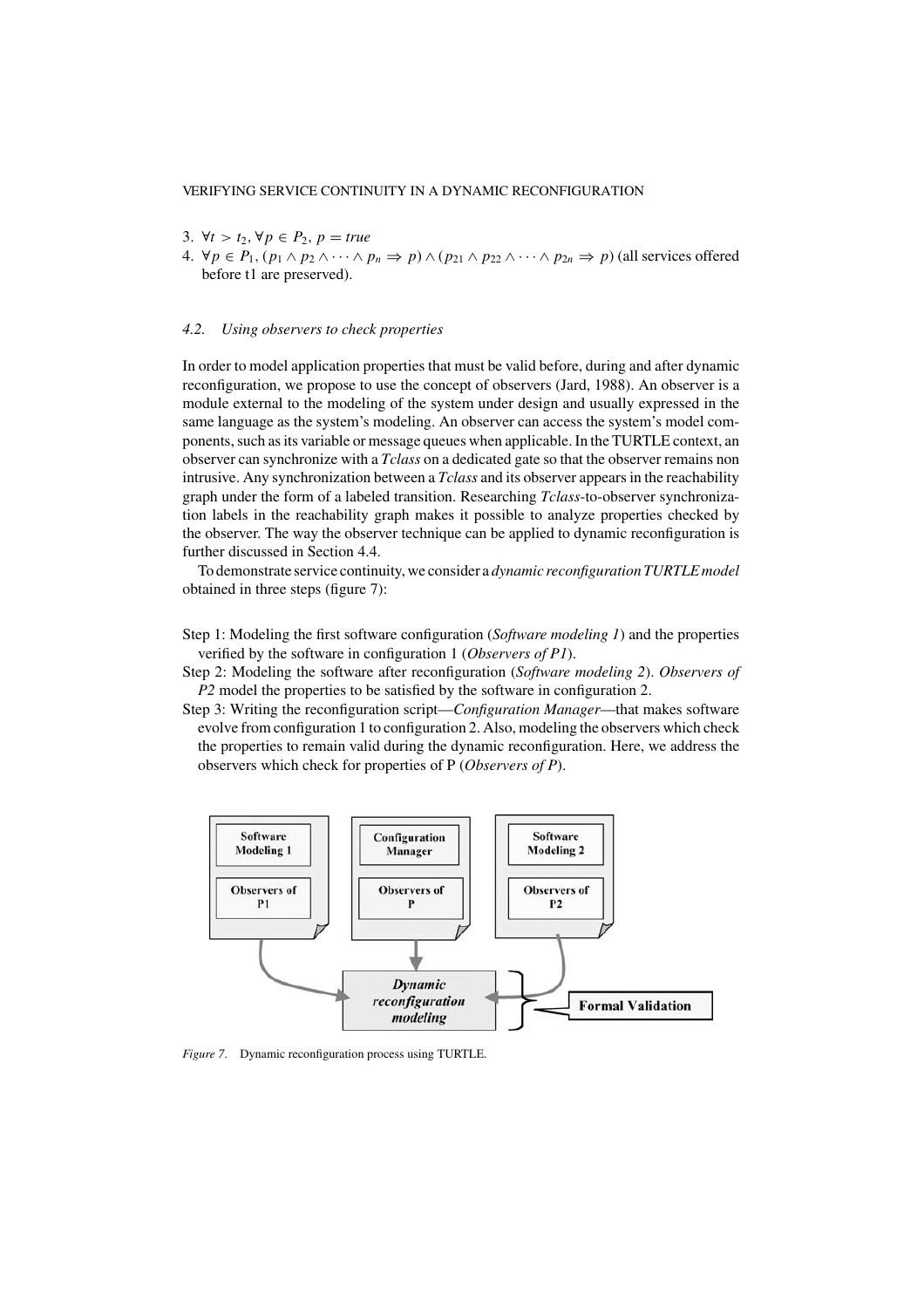- 3.  $∀*t* > *t*<sub>2</sub>, ∀*p* ∈ *P*<sub>2</sub>, *p* = *true*$
- 4.  $\forall p \in P_1, (p_1 \wedge p_2 \wedge \cdots \wedge p_n \Rightarrow p) \wedge (p_{21} \wedge p_{22} \wedge \cdots \wedge p_{2n} \Rightarrow p)$  (all services offered before t1 are preserved).

#### *4.2. Using observers to check properties*

In order to model application properties that must be valid before, during and after dynamic reconfiguration, we propose to use the concept of observers (Jard, 1988). An observer is a module external to the modeling of the system under design and usually expressed in the same language as the system's modeling. An observer can access the system's model components, such as its variable or message queues when applicable. In the TURTLE context, an observer can synchronize with a *Tclass* on a dedicated gate so that the observer remains non intrusive. Any synchronization between a *Tclass* and its observer appears in the reachability graph under the form of a labeled transition. Researching *Tclass*-to-observer synchronization labels in the reachability graph makes it possible to analyze properties checked by the observer. The way the observer technique can be applied to dynamic reconfiguration is further discussed in Section 4.4.

To demonstrate service continuity, we consider a *dynamic reconfiguration TURTLE model* obtained in three steps (figure 7):

- Step 1: Modeling the first software configuration (*Software modeling 1*) and the properties verified by the software in configuration 1 (*Observers of P1*).
- Step 2: Modeling the software after reconfiguration (*Software modeling 2*). *Observers of P2* model the properties to be satisfied by the software in configuration 2.
- Step 3: Writing the reconfiguration script—*Configuration Manager*—that makes software evolve from configuration 1 to configuration 2. Also, modeling the observers which check the properties to remain valid during the dynamic reconfiguration. Here, we address the observers which check for properties of P (*Observers of P*).



*Figure 7*. Dynamic reconfiguration process using TURTLE.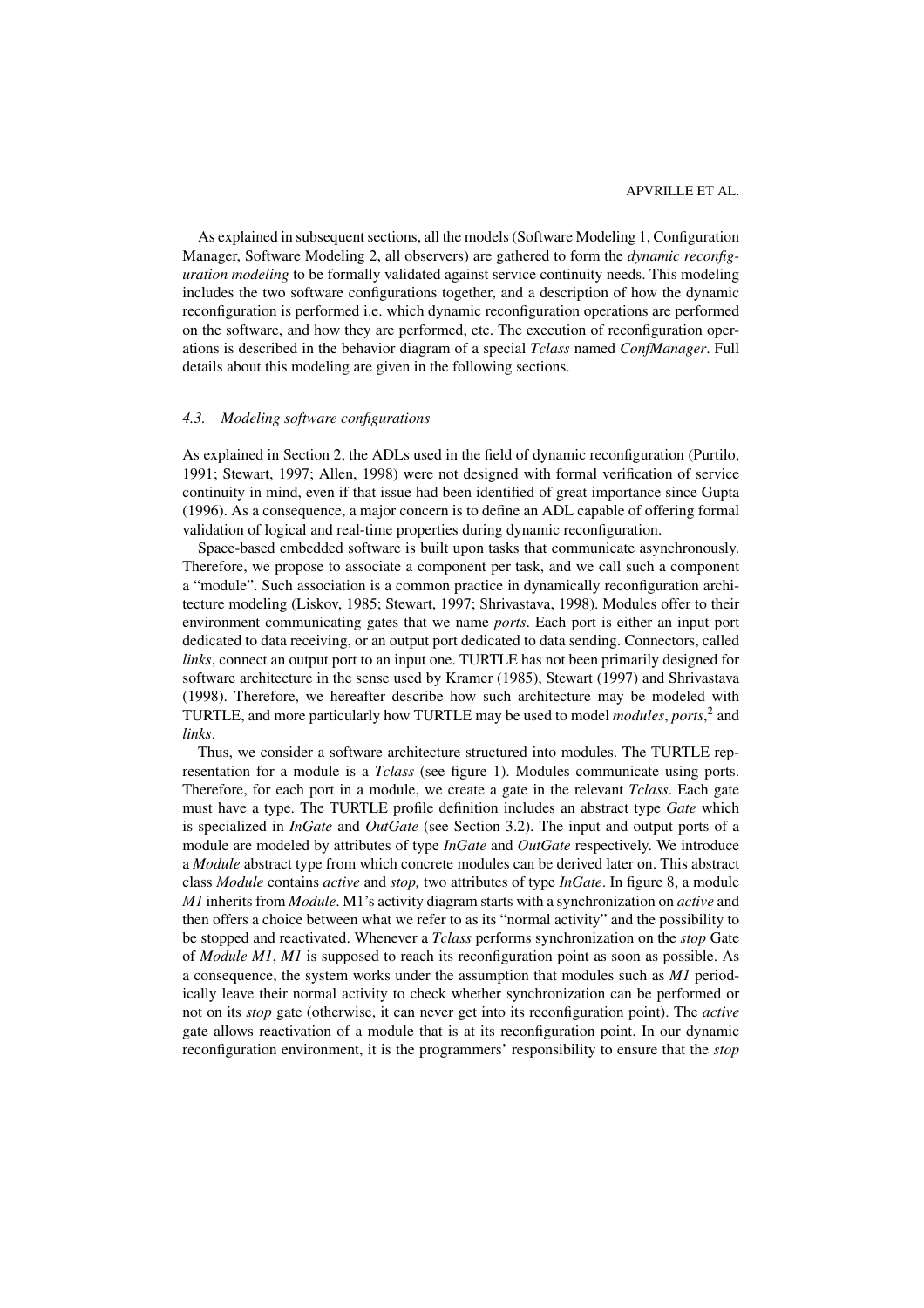As explained in subsequent sections, all the models (Software Modeling 1, Configuration Manager, Software Modeling 2, all observers) are gathered to form the *dynamic reconfiguration modeling* to be formally validated against service continuity needs. This modeling includes the two software configurations together, and a description of how the dynamic reconfiguration is performed i.e. which dynamic reconfiguration operations are performed on the software, and how they are performed, etc. The execution of reconfiguration operations is described in the behavior diagram of a special *Tclass* named *ConfManager*. Full details about this modeling are given in the following sections.

### *4.3. Modeling software configurations*

As explained in Section 2, the ADLs used in the field of dynamic reconfiguration (Purtilo, 1991; Stewart, 1997; Allen, 1998) were not designed with formal verification of service continuity in mind, even if that issue had been identified of great importance since Gupta (1996). As a consequence, a major concern is to define an ADL capable of offering formal validation of logical and real-time properties during dynamic reconfiguration.

Space-based embedded software is built upon tasks that communicate asynchronously. Therefore, we propose to associate a component per task, and we call such a component a "module". Such association is a common practice in dynamically reconfiguration architecture modeling (Liskov, 1985; Stewart, 1997; Shrivastava, 1998). Modules offer to their environment communicating gates that we name *ports*. Each port is either an input port dedicated to data receiving, or an output port dedicated to data sending. Connectors, called *links*, connect an output port to an input one. TURTLE has not been primarily designed for software architecture in the sense used by Kramer (1985), Stewart (1997) and Shrivastava (1998). Therefore, we hereafter describe how such architecture may be modeled with TURTLE, and more particularly how TURTLE may be used to model *modules*, *ports*, <sup>2</sup> and *links*.

Thus, we consider a software architecture structured into modules. The TURTLE representation for a module is a *Tclass* (see figure 1). Modules communicate using ports. Therefore, for each port in a module, we create a gate in the relevant *Tclass*. Each gate must have a type. The TURTLE profile definition includes an abstract type *Gate* which is specialized in *InGate* and *OutGate* (see Section 3.2). The input and output ports of a module are modeled by attributes of type *InGate* and *OutGate* respectively. We introduce a *Module* abstract type from which concrete modules can be derived later on. This abstract class *Module* contains *active* and *stop,* two attributes of type *InGate*. In figure 8, a module *M1* inherits from *Module*. M1's activity diagram starts with a synchronization on *active* and then offers a choice between what we refer to as its "normal activity" and the possibility to be stopped and reactivated. Whenever a *Tclass* performs synchronization on the *stop* Gate of *Module M1*, *M1* is supposed to reach its reconfiguration point as soon as possible. As a consequence, the system works under the assumption that modules such as *M1* periodically leave their normal activity to check whether synchronization can be performed or not on its *stop* gate (otherwise, it can never get into its reconfiguration point). The *active* gate allows reactivation of a module that is at its reconfiguration point. In our dynamic reconfiguration environment, it is the programmers' responsibility to ensure that the *stop*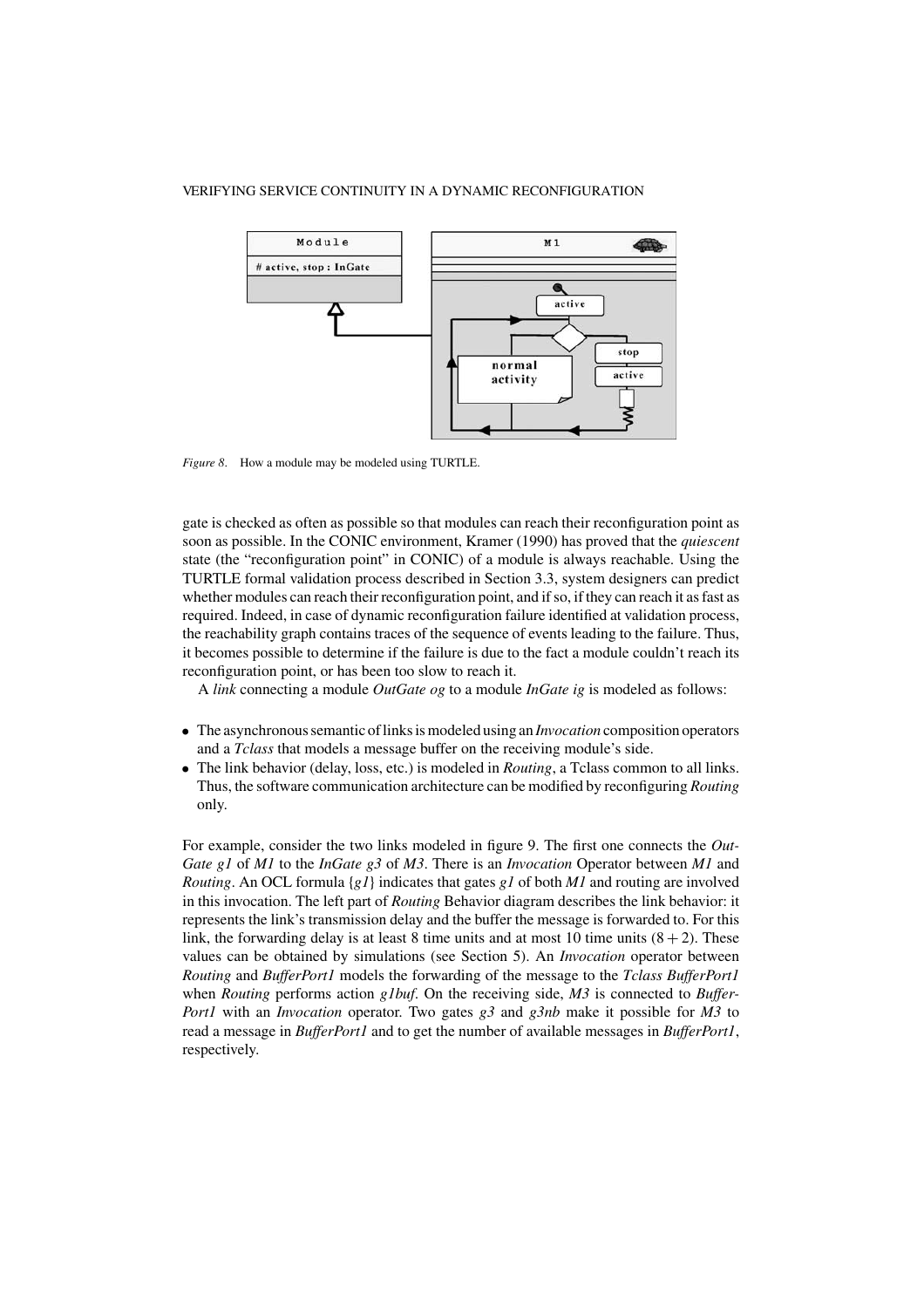

*Figure 8*. How a module may be modeled using TURTLE.

gate is checked as often as possible so that modules can reach their reconfiguration point as soon as possible. In the CONIC environment, Kramer (1990) has proved that the *quiescent* state (the "reconfiguration point" in CONIC) of a module is always reachable. Using the TURTLE formal validation process described in Section 3.3, system designers can predict whether modules can reach their reconfiguration point, and if so, if they can reach it as fast as required. Indeed, in case of dynamic reconfiguration failure identified at validation process, the reachability graph contains traces of the sequence of events leading to the failure. Thus, it becomes possible to determine if the failure is due to the fact a module couldn't reach its reconfiguration point, or has been too slow to reach it.

A *link* connecting a module *OutGate og* to a module *InGate ig* is modeled as follows:

- The asynchronous semantic of links is modeled using an *Invocation* composition operators and a *Tclass* that models a message buffer on the receiving module's side.
- The link behavior (delay, loss, etc.) is modeled in *Routing*, a Tclass common to all links. Thus, the software communication architecture can be modified by reconfiguring *Routing* only.

For example, consider the two links modeled in figure 9. The first one connects the *Out-Gate g1* of *M1* to the *InGate g3* of *M3*. There is an *Invocation* Operator between *M1* and *Routing*. An OCL formula {*g1*} indicates that gates *g1* of both *M1* and routing are involved in this invocation. The left part of *Routing* Behavior diagram describes the link behavior: it represents the link's transmission delay and the buffer the message is forwarded to. For this link, the forwarding delay is at least 8 time units and at most 10 time units  $(8 + 2)$ . These values can be obtained by simulations (see Section 5). An *Invocation* operator between *Routing* and *BufferPort1* models the forwarding of the message to the *Tclass BufferPort1* when *Routing* performs action *g1buf*. On the receiving side, *M3* is connected to *Buffer-Port1* with an *Invocation* operator. Two gates *g3* and *g3nb* make it possible for *M3* to read a message in *BufferPort1* and to get the number of available messages in *BufferPort1*, respectively.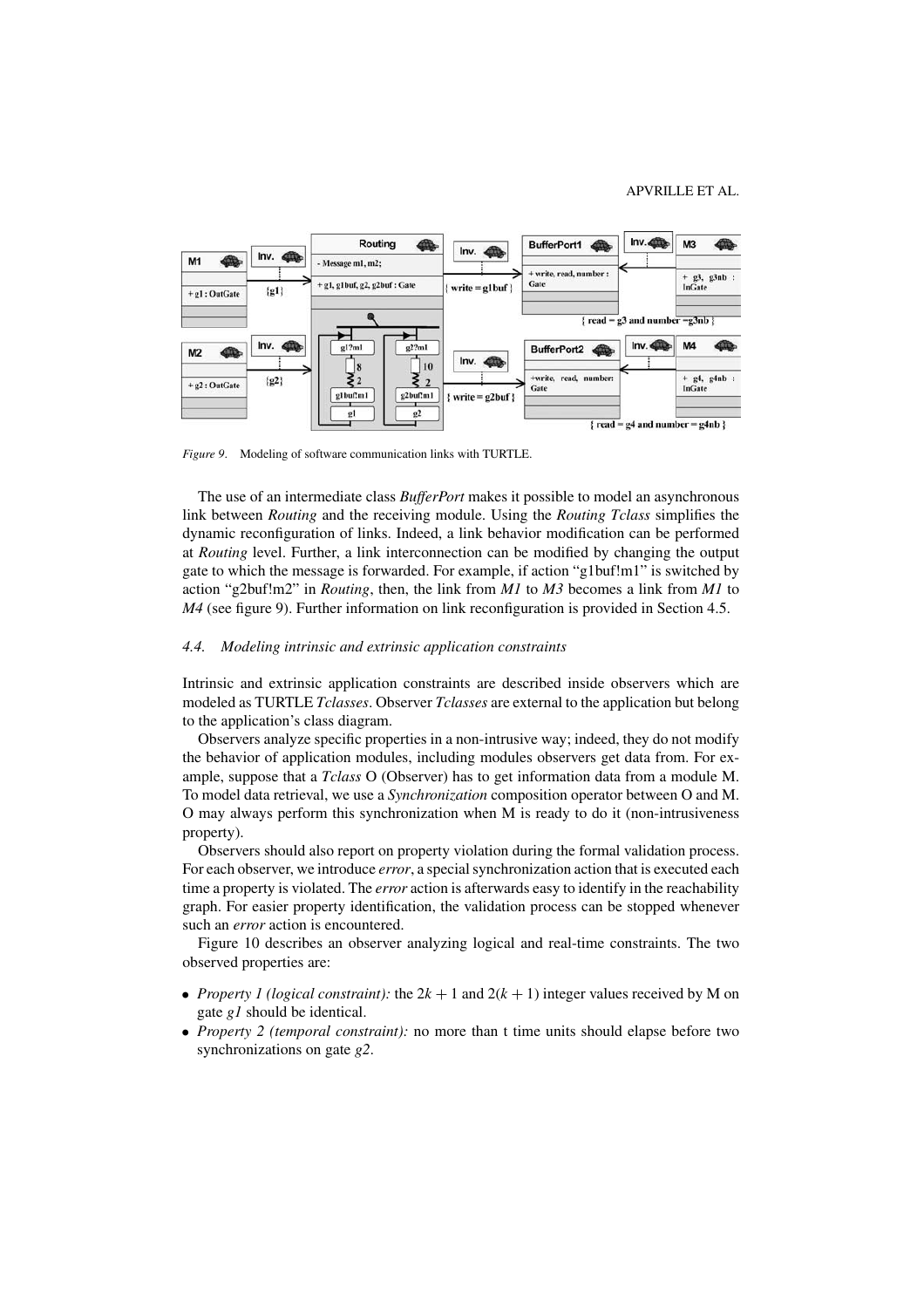

*Figure 9*. Modeling of software communication links with TURTLE.

The use of an intermediate class *BufferPort* makes it possible to model an asynchronous link between *Routing* and the receiving module. Using the *Routing Tclass* simplifies the dynamic reconfiguration of links. Indeed, a link behavior modification can be performed at *Routing* level. Further, a link interconnection can be modified by changing the output gate to which the message is forwarded. For example, if action "g1buf!m1" is switched by action "g2buf!m2" in *Routing*, then, the link from *M1* to *M3* becomes a link from *M1* to *M4* (see figure 9). Further information on link reconfiguration is provided in Section 4.5.

#### *4.4. Modeling intrinsic and extrinsic application constraints*

Intrinsic and extrinsic application constraints are described inside observers which are modeled as TURTLE *Tclasses*. Observer *Tclasses* are external to the application but belong to the application's class diagram.

Observers analyze specific properties in a non-intrusive way; indeed, they do not modify the behavior of application modules, including modules observers get data from. For example, suppose that a *Tclass* O (Observer) has to get information data from a module M. To model data retrieval, we use a *Synchronization* composition operator between O and M. O may always perform this synchronization when M is ready to do it (non-intrusiveness property).

Observers should also report on property violation during the formal validation process. For each observer, we introduce *error*, a special synchronization action that is executed each time a property is violated. The *error* action is afterwards easy to identify in the reachability graph. For easier property identification, the validation process can be stopped whenever such an *error* action is encountered.

Figure 10 describes an observer analyzing logical and real-time constraints. The two observed properties are:

- *Property 1 (logical constraint):* the  $2k + 1$  and  $2(k + 1)$  integer values received by M on gate *g1* should be identical.
- *Property 2 (temporal constraint):* no more than t time units should elapse before two synchronizations on gate *g2*.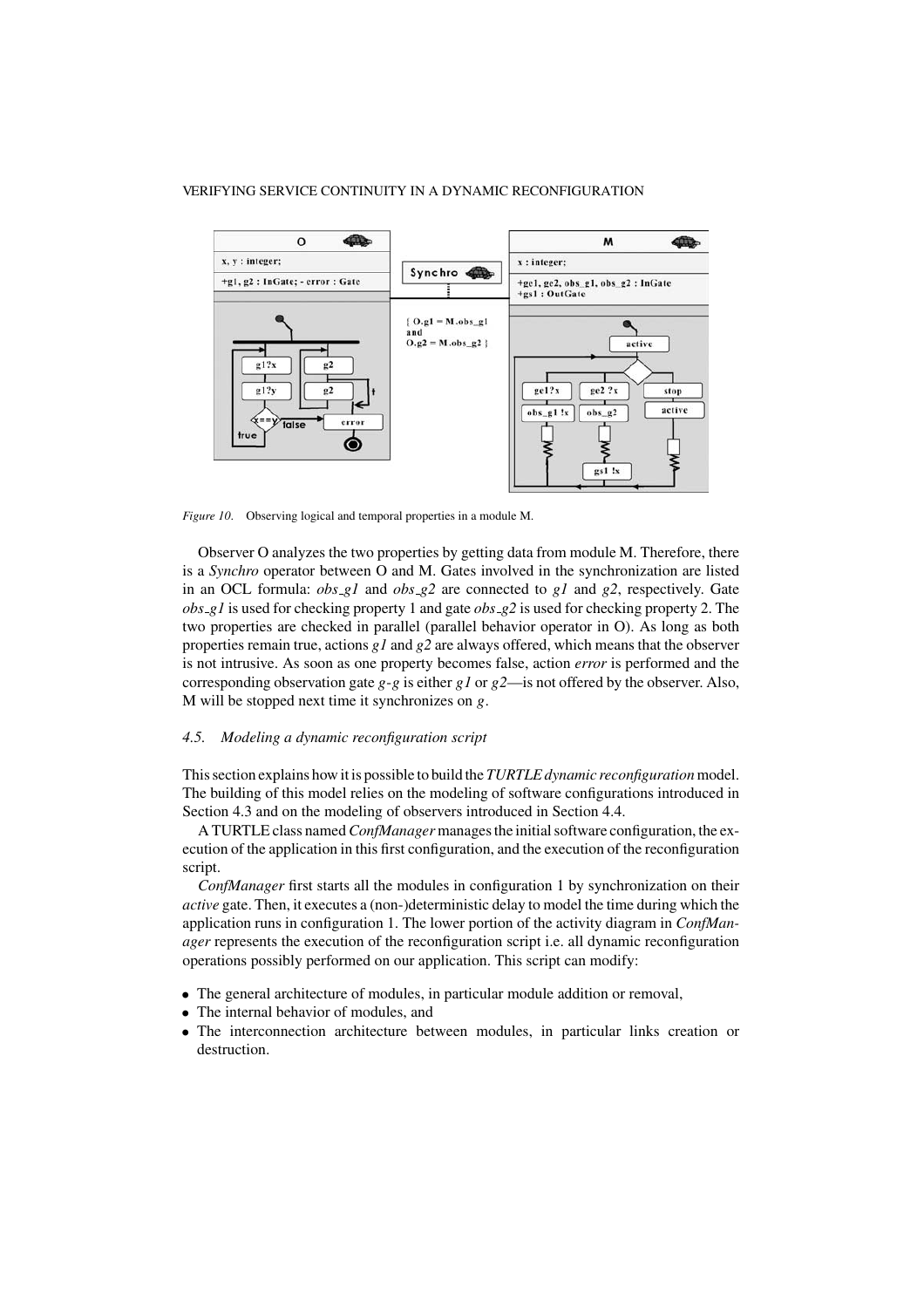

*Figure 10*. Observing logical and temporal properties in a module M.

Observer O analyzes the two properties by getting data from module M. Therefore, there is a *Synchro* operator between O and M. Gates involved in the synchronization are listed in an OCL formula: *obs g1* and *obs g2* are connected to *g1* and *g2*, respectively. Gate *obs g1* is used for checking property 1 and gate *obs g2* is used for checking property 2. The two properties are checked in parallel (parallel behavior operator in O). As long as both properties remain true, actions *g1* and *g2* are always offered, which means that the observer is not intrusive. As soon as one property becomes false, action *error* is performed and the corresponding observation gate *g*-*g* is either *g1* or *g2*—is not offered by the observer. Also, M will be stopped next time it synchronizes on *g*.

# *4.5. Modeling a dynamic reconfiguration script*

This section explains how it is possible to build the *TURTLE dynamic reconfiguration*model. The building of this model relies on the modeling of software configurations introduced in Section 4.3 and on the modeling of observers introduced in Section 4.4.

A TURTLE class named*ConfManager* manages the initial software configuration, the execution of the application in this first configuration, and the execution of the reconfiguration script.

*ConfManager* first starts all the modules in configuration 1 by synchronization on their *active* gate. Then, it executes a (non-)deterministic delay to model the time during which the application runs in configuration 1. The lower portion of the activity diagram in *ConfManager* represents the execution of the reconfiguration script i.e. all dynamic reconfiguration operations possibly performed on our application. This script can modify:

- The general architecture of modules, in particular module addition or removal,
- The internal behavior of modules, and
- The interconnection architecture between modules, in particular links creation or destruction.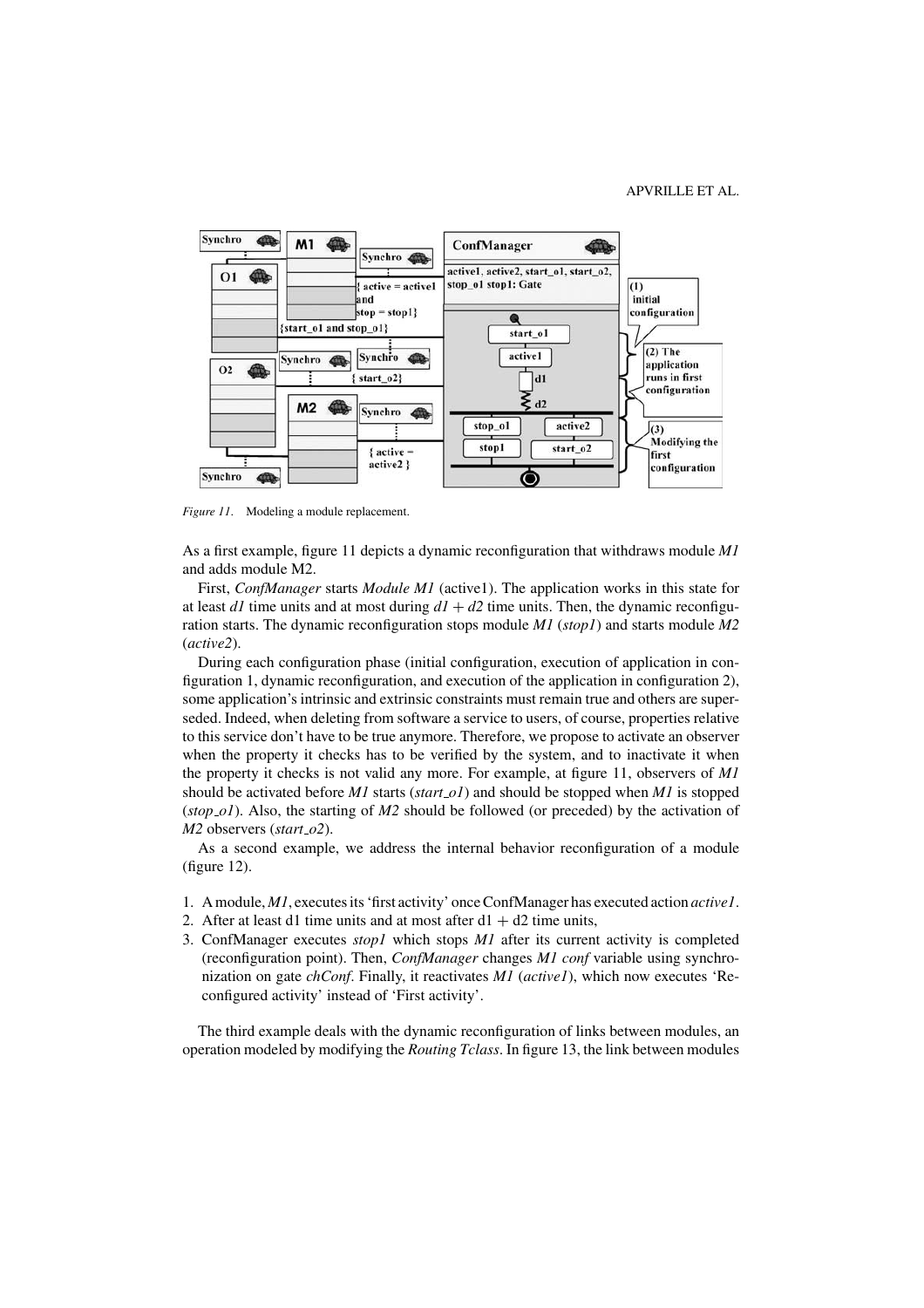

*Figure 11*. Modeling a module replacement.

As a first example, figure 11 depicts a dynamic reconfiguration that withdraws module *M1* and adds module M2.

First, *ConfManager* starts *Module M1* (active1). The application works in this state for at least *d1* time units and at most during  $d1 + d2$  time units. Then, the dynamic reconfiguration starts. The dynamic reconfiguration stops module *M1* (*stop1*) and starts module *M2* (*active2*).

During each configuration phase (initial configuration, execution of application in configuration 1, dynamic reconfiguration, and execution of the application in configuration 2), some application's intrinsic and extrinsic constraints must remain true and others are superseded. Indeed, when deleting from software a service to users, of course, properties relative to this service don't have to be true anymore. Therefore, we propose to activate an observer when the property it checks has to be verified by the system, and to inactivate it when the property it checks is not valid any more. For example, at figure 11, observers of *M1* should be activated before *M1* starts (*start o1*) and should be stopped when *M1* is stopped (*stop o1*). Also, the starting of *M2* should be followed (or preceded) by the activation of *M2* observers (*start o2*).

As a second example, we address the internal behavior reconfiguration of a module (figure 12).

- 1. A module, *M1*, executes its 'first activity' once ConfManager has executed action *active1*.
- 2. After at least d1 time units and at most after  $d1 + d2$  time units,
- 3. ConfManager executes *stop1* which stops *M1* after its current activity is completed (reconfiguration point). Then, *ConfManager* changes *M1 conf* variable using synchronization on gate *chConf*. Finally, it reactivates *M1* (*active1*), which now executes 'Reconfigured activity' instead of 'First activity'.

The third example deals with the dynamic reconfiguration of links between modules, an operation modeled by modifying the *Routing Tclass*. In figure 13, the link between modules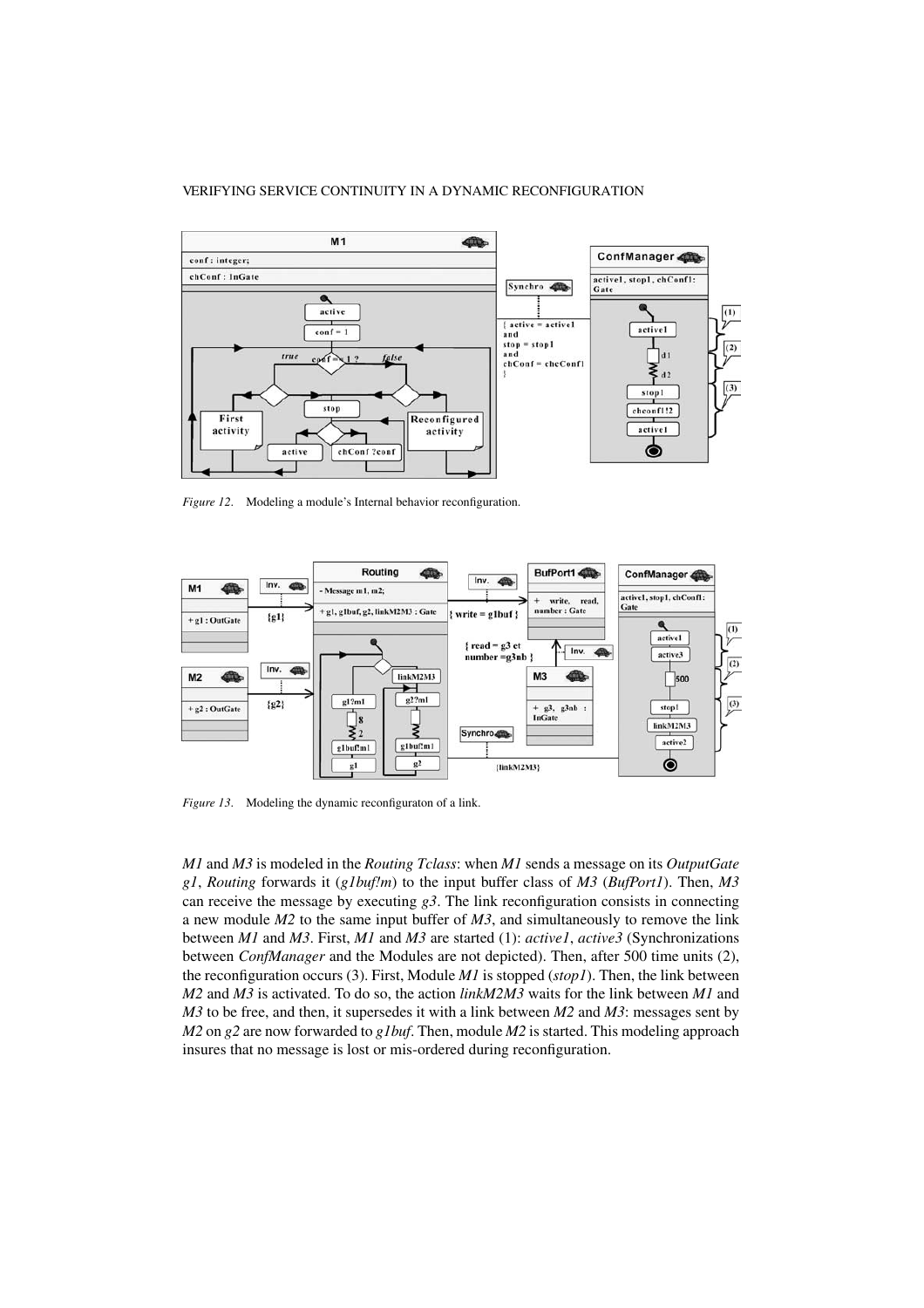

*Figure 12*. Modeling a module's Internal behavior reconfiguration.



*Figure 13*. Modeling the dynamic reconfiguraton of a link.

*M1* and *M3* is modeled in the *Routing Tclass*: when *M1* sends a message on its *OutputGate g1*, *Routing* forwards it (*g1buf!m*) to the input buffer class of *M3* (*BufPort1*). Then, *M3* can receive the message by executing  $g3$ . The link reconfiguration consists in connecting a new module *M2* to the same input buffer of *M3*, and simultaneously to remove the link between *M1* and *M3*. First, *M1* and *M3* are started (1): *active1*, *active3* (Synchronizations between *ConfManager* and the Modules are not depicted). Then, after 500 time units (2), the reconfiguration occurs (3). First, Module *M1* is stopped (*stop1*). Then, the link between *M2* and *M3* is activated. To do so, the action *linkM2M3* waits for the link between *M1* and *M3* to be free, and then, it supersedes it with a link between *M2* and *M3*: messages sent by *M2* on *g2* are now forwarded to *g1buf*. Then, module *M2* is started. This modeling approach insures that no message is lost or mis-ordered during reconfiguration.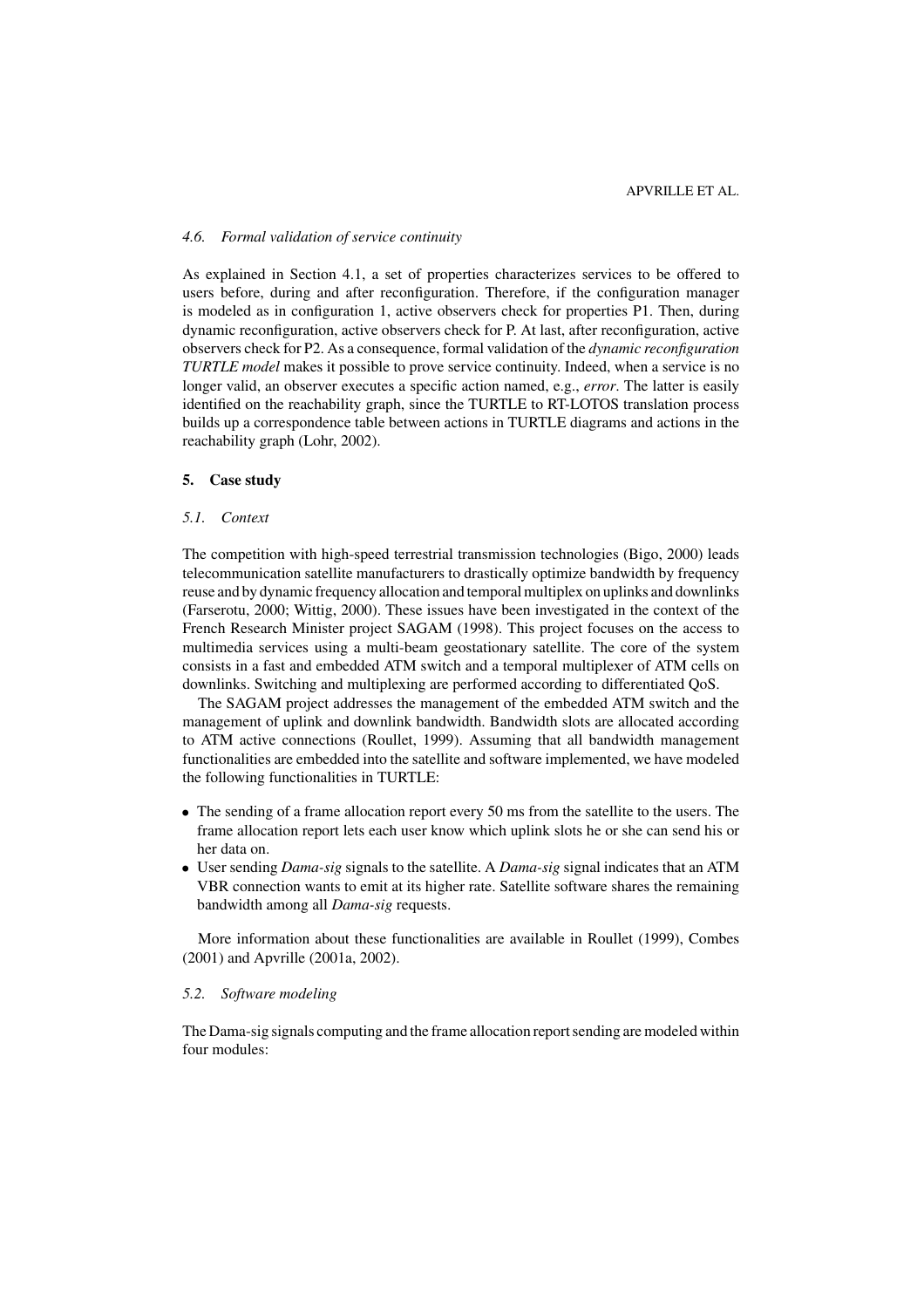# *4.6. Formal validation of service continuity*

As explained in Section 4.1, a set of properties characterizes services to be offered to users before, during and after reconfiguration. Therefore, if the configuration manager is modeled as in configuration 1, active observers check for properties P1. Then, during dynamic reconfiguration, active observers check for P. At last, after reconfiguration, active observers check for P2. As a consequence, formal validation of the *dynamic reconfiguration TURTLE model* makes it possible to prove service continuity. Indeed, when a service is no longer valid, an observer executes a specific action named, e.g., *error*. The latter is easily identified on the reachability graph, since the TURTLE to RT-LOTOS translation process builds up a correspondence table between actions in TURTLE diagrams and actions in the reachability graph (Lohr, 2002).

### **5. Case study**

# *5.1. Context*

The competition with high-speed terrestrial transmission technologies (Bigo, 2000) leads telecommunication satellite manufacturers to drastically optimize bandwidth by frequency reuse and by dynamic frequency allocation and temporal multiplex on uplinks and downlinks (Farserotu, 2000; Wittig, 2000). These issues have been investigated in the context of the French Research Minister project SAGAM (1998). This project focuses on the access to multimedia services using a multi-beam geostationary satellite. The core of the system consists in a fast and embedded ATM switch and a temporal multiplexer of ATM cells on downlinks. Switching and multiplexing are performed according to differentiated QoS.

The SAGAM project addresses the management of the embedded ATM switch and the management of uplink and downlink bandwidth. Bandwidth slots are allocated according to ATM active connections (Roullet, 1999). Assuming that all bandwidth management functionalities are embedded into the satellite and software implemented, we have modeled the following functionalities in TURTLE:

- The sending of a frame allocation report every 50 ms from the satellite to the users. The frame allocation report lets each user know which uplink slots he or she can send his or her data on.
- User sending *Dama-sig* signals to the satellite. A *Dama-sig* signal indicates that an ATM VBR connection wants to emit at its higher rate. Satellite software shares the remaining bandwidth among all *Dama-sig* requests.

More information about these functionalities are available in Roullet (1999), Combes (2001) and Apvrille (2001a, 2002).

# *5.2. Software modeling*

The Dama-sig signals computing and the frame allocation report sending are modeled within four modules: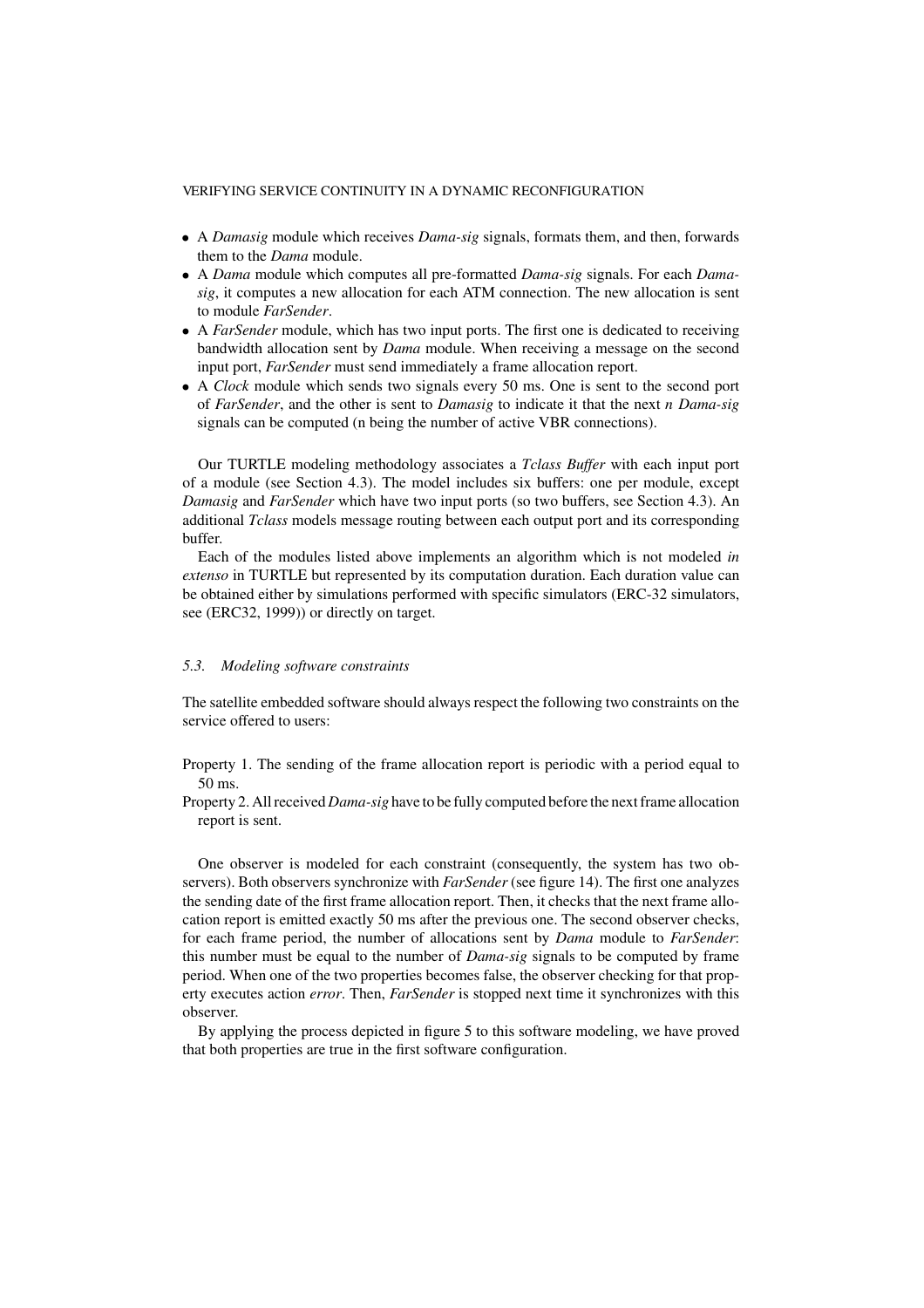- A *Damasig* module which receives *Dama-sig* signals, formats them, and then, forwards them to the *Dama* module.
- A *Dama* module which computes all pre-formatted *Dama-sig* signals. For each *Damasig*, it computes a new allocation for each ATM connection. The new allocation is sent to module *FarSender*.
- A *FarSender* module, which has two input ports. The first one is dedicated to receiving bandwidth allocation sent by *Dama* module. When receiving a message on the second input port, *FarSender* must send immediately a frame allocation report.
- A *Clock* module which sends two signals every 50 ms. One is sent to the second port of *FarSender*, and the other is sent to *Damasig* to indicate it that the next *n Dama-sig* signals can be computed (n being the number of active VBR connections).

Our TURTLE modeling methodology associates a *Tclass Buffer* with each input port of a module (see Section 4.3). The model includes six buffers: one per module, except *Damasig* and *FarSender* which have two input ports (so two buffers, see Section 4.3). An additional *Tclass* models message routing between each output port and its corresponding buffer.

Each of the modules listed above implements an algorithm which is not modeled *in extenso* in TURTLE but represented by its computation duration. Each duration value can be obtained either by simulations performed with specific simulators (ERC-32 simulators, see (ERC32, 1999)) or directly on target.

#### *5.3. Modeling software constraints*

The satellite embedded software should always respect the following two constraints on the service offered to users:

- Property 1. The sending of the frame allocation report is periodic with a period equal to 50 ms.
- Property 2. All received *Dama-sig* have to be fully computed before the next frame allocation report is sent.

One observer is modeled for each constraint (consequently, the system has two observers). Both observers synchronize with *FarSender* (see figure 14). The first one analyzes the sending date of the first frame allocation report. Then, it checks that the next frame allocation report is emitted exactly 50 ms after the previous one. The second observer checks, for each frame period, the number of allocations sent by *Dama* module to *FarSender*: this number must be equal to the number of *Dama-sig* signals to be computed by frame period. When one of the two properties becomes false, the observer checking for that property executes action *error*. Then, *FarSender* is stopped next time it synchronizes with this observer.

By applying the process depicted in figure 5 to this software modeling, we have proved that both properties are true in the first software configuration.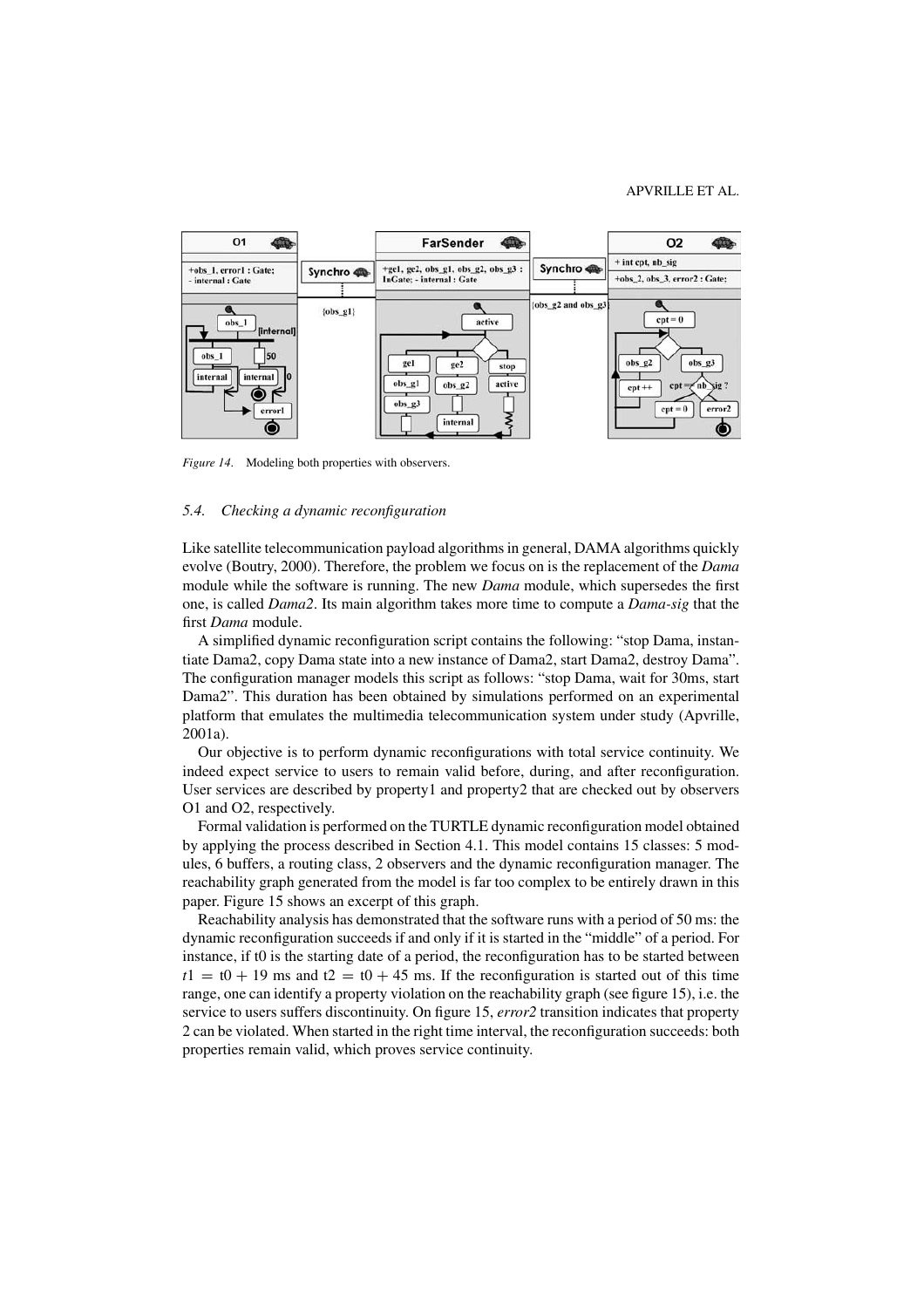#### APVRILLE ET AL.



*Figure 14.* Modeling both properties with observers.

# *5.4. Checking a dynamic reconfiguration*

Like satellite telecommunication payload algorithms in general, DAMA algorithms quickly evolve (Boutry, 2000). Therefore, the problem we focus on is the replacement of the *Dama* module while the software is running. The new *Dama* module, which supersedes the first one, is called *Dama2*. Its main algorithm takes more time to compute a *Dama-sig* that the first *Dama* module.

A simplified dynamic reconfiguration script contains the following: "stop Dama, instantiate Dama2, copy Dama state into a new instance of Dama2, start Dama2, destroy Dama". The configuration manager models this script as follows: "stop Dama, wait for 30ms, start Dama2". This duration has been obtained by simulations performed on an experimental platform that emulates the multimedia telecommunication system under study (Apvrille, 2001a).

Our objective is to perform dynamic reconfigurations with total service continuity. We indeed expect service to users to remain valid before, during, and after reconfiguration. User services are described by property1 and property2 that are checked out by observers O1 and O2, respectively.

Formal validation is performed on the TURTLE dynamic reconfiguration model obtained by applying the process described in Section 4.1. This model contains 15 classes: 5 modules, 6 buffers, a routing class, 2 observers and the dynamic reconfiguration manager. The reachability graph generated from the model is far too complex to be entirely drawn in this paper. Figure 15 shows an excerpt of this graph.

Reachability analysis has demonstrated that the software runs with a period of 50 ms: the dynamic reconfiguration succeeds if and only if it is started in the "middle" of a period. For instance, if t0 is the starting date of a period, the reconfiguration has to be started between  $t_1 = t_0 + 19$  ms and  $t_2 = t_0 + 45$  ms. If the reconfiguration is started out of this time range, one can identify a property violation on the reachability graph (see figure 15), i.e. the service to users suffers discontinuity. On figure 15, *error2* transition indicates that property 2 can be violated. When started in the right time interval, the reconfiguration succeeds: both properties remain valid, which proves service continuity.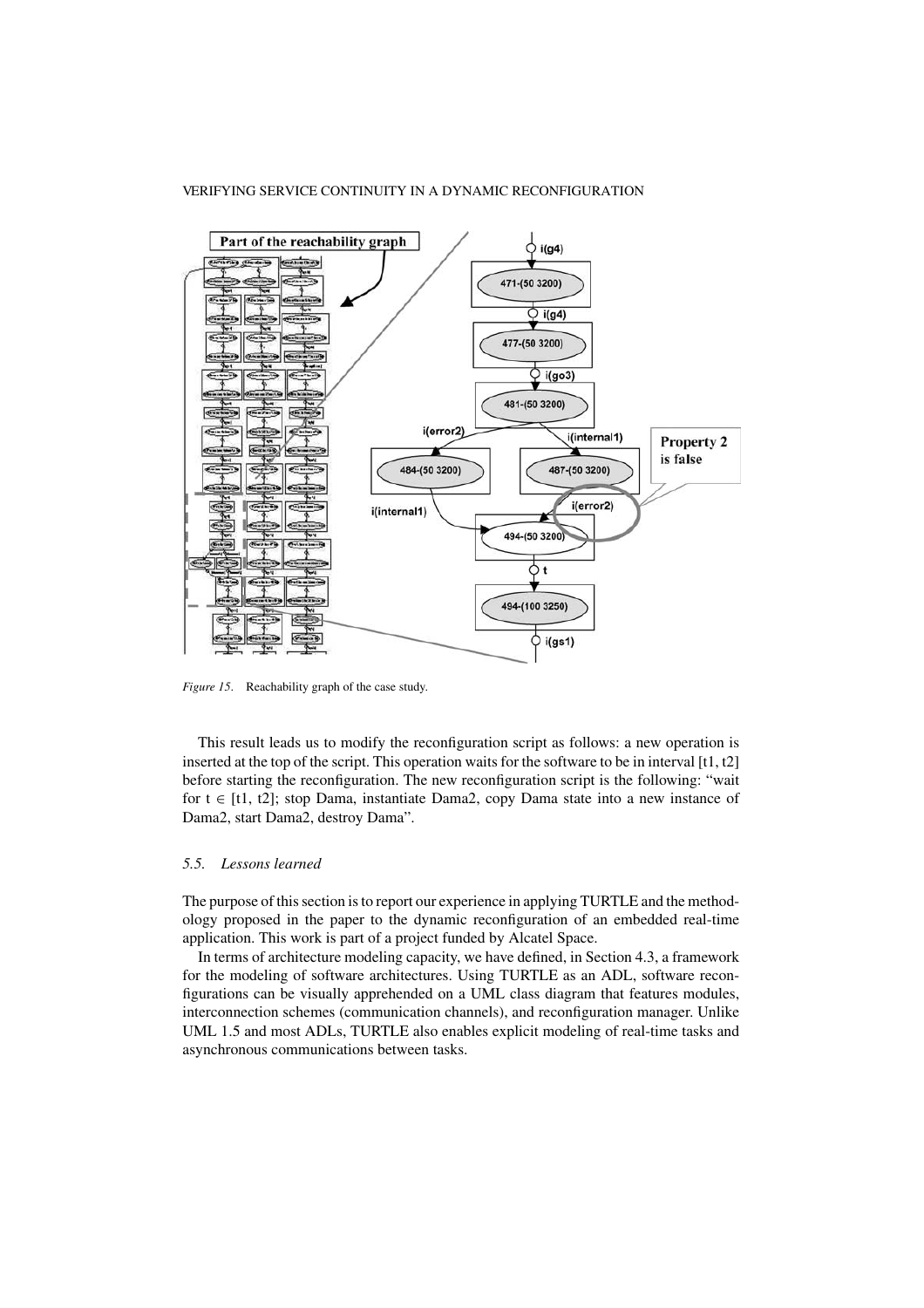

*Figure 15*. Reachability graph of the case study.

This result leads us to modify the reconfiguration script as follows: a new operation is inserted at the top of the script. This operation waits for the software to be in interval [t1, t2] before starting the reconfiguration. The new reconfiguration script is the following: "wait for  $t \in [t1, t2]$ ; stop Dama, instantiate Dama2, copy Dama state into a new instance of Dama2, start Dama2, destroy Dama".

# *5.5. Lessons learned*

The purpose of this section is to report our experience in applying TURTLE and the methodology proposed in the paper to the dynamic reconfiguration of an embedded real-time application. This work is part of a project funded by Alcatel Space.

In terms of architecture modeling capacity, we have defined, in Section 4.3, a framework for the modeling of software architectures. Using TURTLE as an ADL, software reconfigurations can be visually apprehended on a UML class diagram that features modules, interconnection schemes (communication channels), and reconfiguration manager. Unlike UML 1.5 and most ADLs, TURTLE also enables explicit modeling of real-time tasks and asynchronous communications between tasks.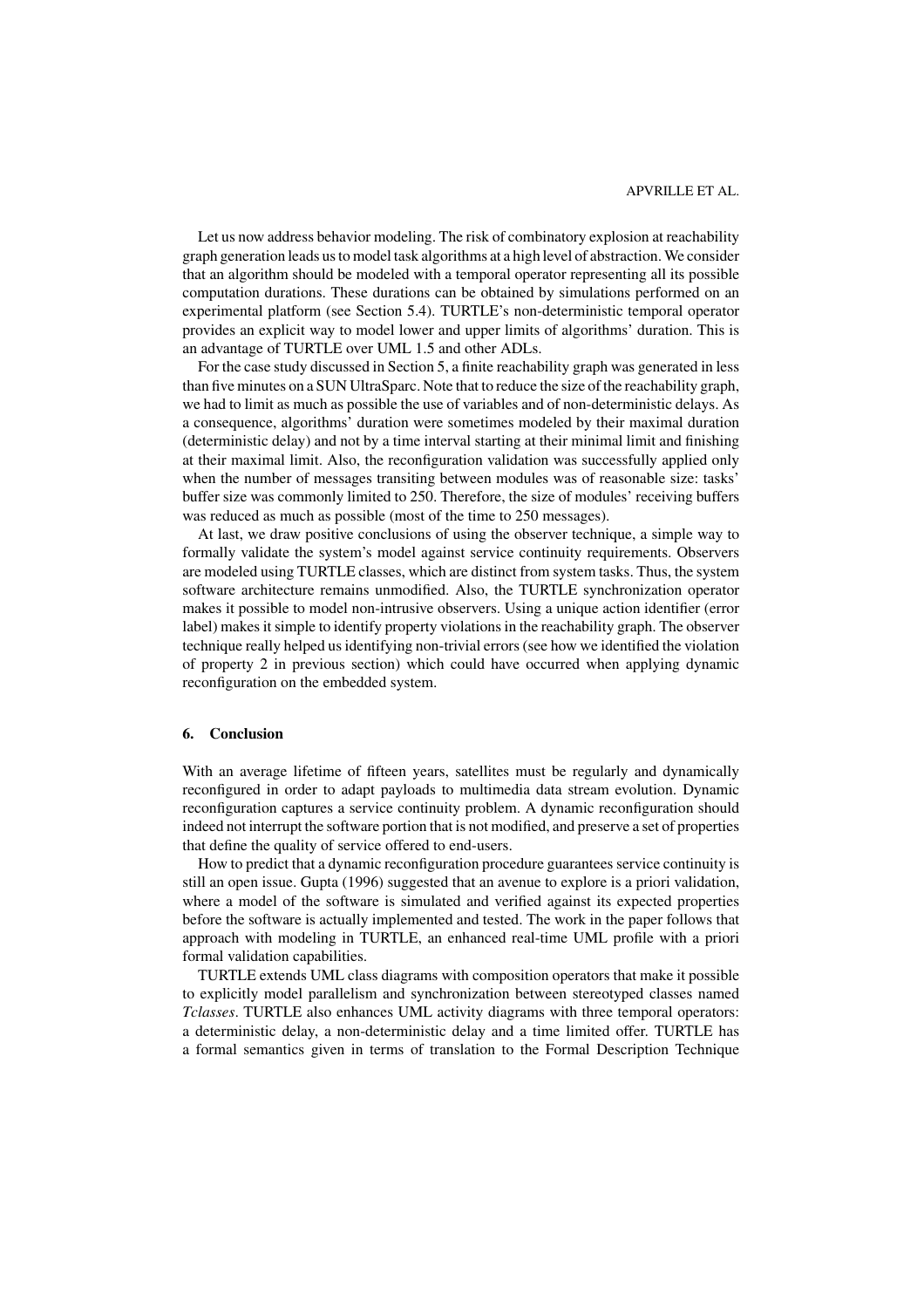#### APVRILLE ET AL.

Let us now address behavior modeling. The risk of combinatory explosion at reachability graph generation leads us to model task algorithms at a high level of abstraction. We consider that an algorithm should be modeled with a temporal operator representing all its possible computation durations. These durations can be obtained by simulations performed on an experimental platform (see Section 5.4). TURTLE's non-deterministic temporal operator provides an explicit way to model lower and upper limits of algorithms' duration. This is an advantage of TURTLE over UML 1.5 and other ADLs.

For the case study discussed in Section 5, a finite reachability graph was generated in less than five minutes on a SUN UltraSparc. Note that to reduce the size of the reachability graph, we had to limit as much as possible the use of variables and of non-deterministic delays. As a consequence, algorithms' duration were sometimes modeled by their maximal duration (deterministic delay) and not by a time interval starting at their minimal limit and finishing at their maximal limit. Also, the reconfiguration validation was successfully applied only when the number of messages transiting between modules was of reasonable size: tasks' buffer size was commonly limited to 250. Therefore, the size of modules' receiving buffers was reduced as much as possible (most of the time to 250 messages).

At last, we draw positive conclusions of using the observer technique, a simple way to formally validate the system's model against service continuity requirements. Observers are modeled using TURTLE classes, which are distinct from system tasks. Thus, the system software architecture remains unmodified. Also, the TURTLE synchronization operator makes it possible to model non-intrusive observers. Using a unique action identifier (error label) makes it simple to identify property violations in the reachability graph. The observer technique really helped us identifying non-trivial errors (see how we identified the violation of property 2 in previous section) which could have occurred when applying dynamic reconfiguration on the embedded system.

# **6. Conclusion**

With an average lifetime of fifteen years, satellites must be regularly and dynamically reconfigured in order to adapt payloads to multimedia data stream evolution. Dynamic reconfiguration captures a service continuity problem. A dynamic reconfiguration should indeed not interrupt the software portion that is not modified, and preserve a set of properties that define the quality of service offered to end-users.

How to predict that a dynamic reconfiguration procedure guarantees service continuity is still an open issue. Gupta (1996) suggested that an avenue to explore is a priori validation, where a model of the software is simulated and verified against its expected properties before the software is actually implemented and tested. The work in the paper follows that approach with modeling in TURTLE, an enhanced real-time UML profile with a priori formal validation capabilities.

TURTLE extends UML class diagrams with composition operators that make it possible to explicitly model parallelism and synchronization between stereotyped classes named *Tclasses*. TURTLE also enhances UML activity diagrams with three temporal operators: a deterministic delay, a non-deterministic delay and a time limited offer. TURTLE has a formal semantics given in terms of translation to the Formal Description Technique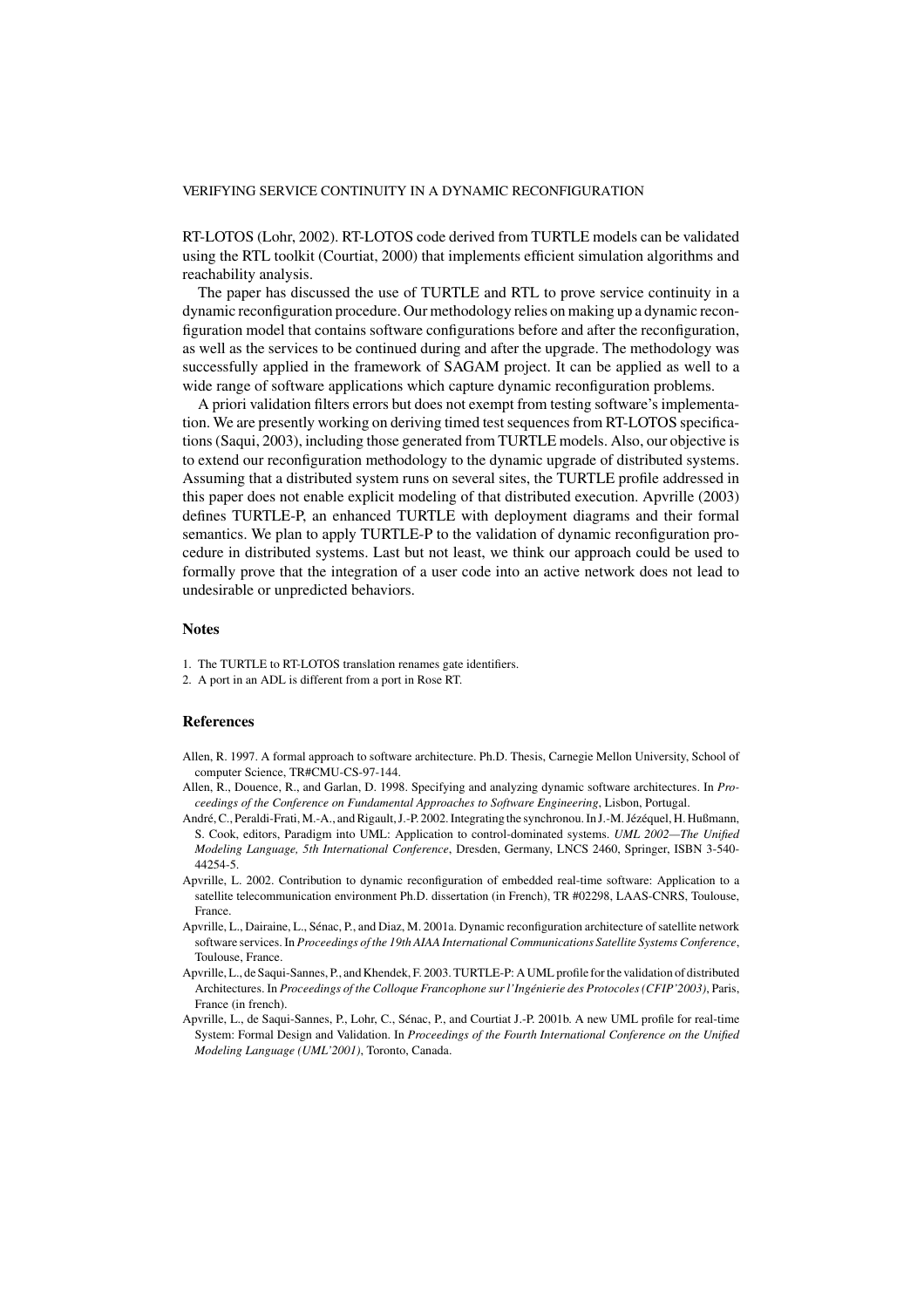RT-LOTOS (Lohr, 2002). RT-LOTOS code derived from TURTLE models can be validated using the RTL toolkit (Courtiat, 2000) that implements efficient simulation algorithms and reachability analysis.

The paper has discussed the use of TURTLE and RTL to prove service continuity in a dynamic reconfiguration procedure. Our methodology relies on making up a dynamic reconfiguration model that contains software configurations before and after the reconfiguration, as well as the services to be continued during and after the upgrade. The methodology was successfully applied in the framework of SAGAM project. It can be applied as well to a wide range of software applications which capture dynamic reconfiguration problems.

A priori validation filters errors but does not exempt from testing software's implementation. We are presently working on deriving timed test sequences from RT-LOTOS specifications (Saqui, 2003), including those generated from TURTLE models. Also, our objective is to extend our reconfiguration methodology to the dynamic upgrade of distributed systems. Assuming that a distributed system runs on several sites, the TURTLE profile addressed in this paper does not enable explicit modeling of that distributed execution. Apvrille (2003) defines TURTLE-P, an enhanced TURTLE with deployment diagrams and their formal semantics. We plan to apply TURTLE-P to the validation of dynamic reconfiguration procedure in distributed systems. Last but not least, we think our approach could be used to formally prove that the integration of a user code into an active network does not lead to undesirable or unpredicted behaviors.

#### **Notes**

- 1. The TURTLE to RT-LOTOS translation renames gate identifiers.
- 2. A port in an ADL is different from a port in Rose RT.

#### **References**

- Allen, R. 1997. A formal approach to software architecture. Ph.D. Thesis, Carnegie Mellon University, School of computer Science, TR#CMU-CS-97-144.
- Allen, R., Douence, R., and Garlan, D. 1998. Specifying and analyzing dynamic software architectures. In *Proceedings of the Conference on Fundamental Approaches to Software Engineering*, Lisbon, Portugal.
- André, C., Peraldi-Frati, M.-A., and Rigault, J.-P. 2002. Integrating the synchronou. In J.-M. Jézéquel, H. Hußmann, S. Cook, editors, Paradigm into UML: Application to control-dominated systems. *UML 2002—The Unified Modeling Language, 5th International Conference*, Dresden, Germany, LNCS 2460, Springer, ISBN 3-540- 44254-5.
- Apvrille, L. 2002. Contribution to dynamic reconfiguration of embedded real-time software: Application to a satellite telecommunication environment Ph.D. dissertation (in French), TR #02298, LAAS-CNRS, Toulouse, France.
- Apvrille, L., Dairaine, L., Sénac, P., and Diaz, M. 2001a. Dynamic reconfiguration architecture of satellite network software services. In *Proceedings of the 19th AIAA International Communications Satellite Systems Conference*, Toulouse, France.
- Apvrille, L., de Saqui-Sannes, P., and Khendek, F. 2003. TURTLE-P: A UML profile for the validation of distributed Architectures. In *Proceedings of the Colloque Francophone sur l'Ingénierie des Protocoles (CFIP'2003)*, Paris, France (in french).
- Apvrille, L., de Saqui-Sannes, P., Lohr, C., Sénac, P., and Courtiat J.-P. 2001b. A new UML profile for real-time System: Formal Design and Validation. In *Proceedings of the Fourth International Conference on the Unified Modeling Language (UML'2001)*, Toronto, Canada.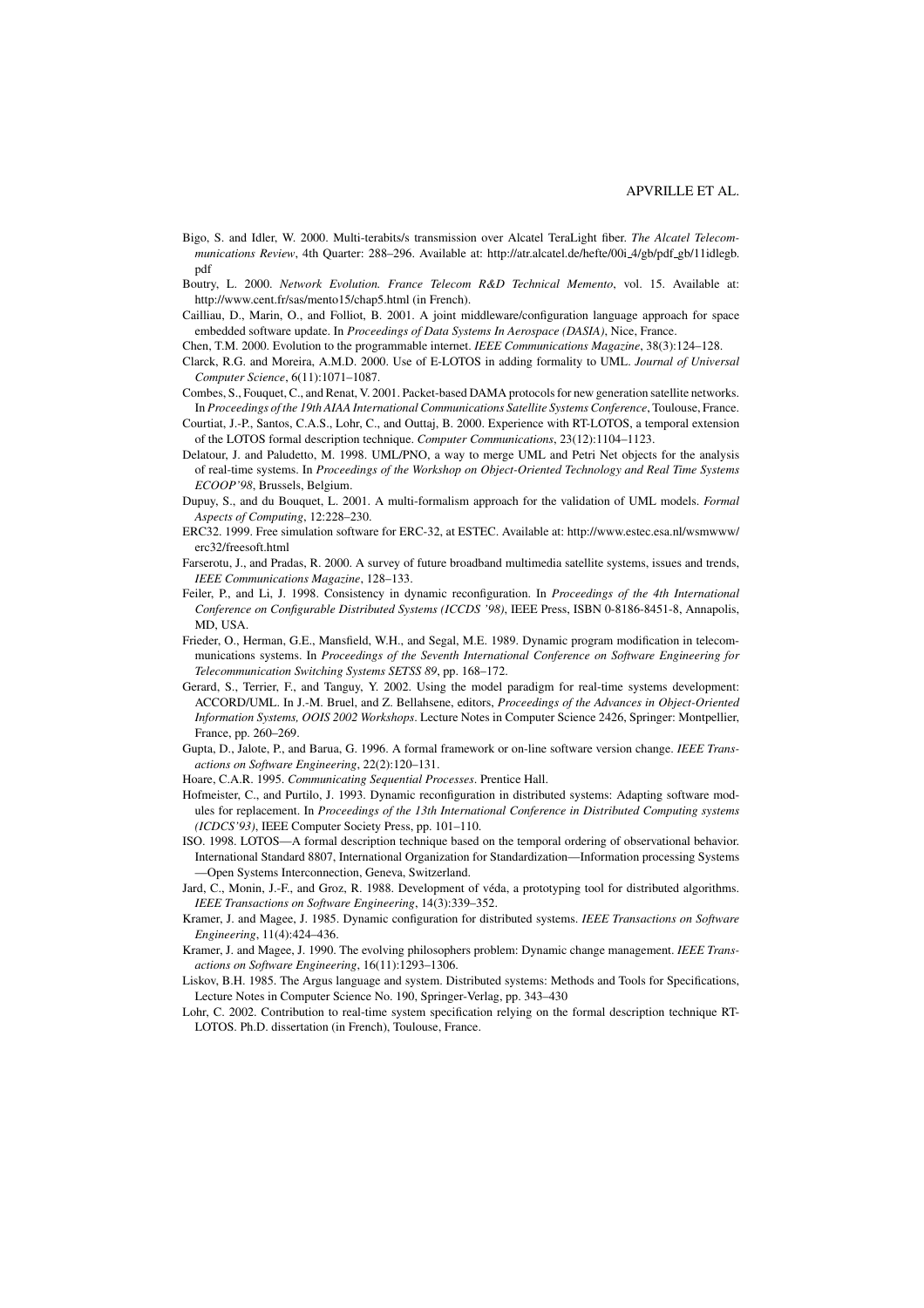- Bigo, S. and Idler, W. 2000. Multi-terabits/s transmission over Alcatel TeraLight fiber. *The Alcatel Telecommunications Review*, 4th Quarter: 288–296. Available at: http://atr.alcatel.de/hefte/00i 4/gb/pdf gb/11idlegb. pdf
- Boutry, L. 2000. *Network Evolution. France Telecom R&D Technical Memento*, vol. 15. Available at: http://www.cent.fr/sas/mento15/chap5.html (in French).
- Cailliau, D., Marin, O., and Folliot, B. 2001. A joint middleware/configuration language approach for space embedded software update. In *Proceedings of Data Systems In Aerospace (DASIA)*, Nice, France.

Chen, T.M. 2000. Evolution to the programmable internet. *IEEE Communications Magazine*, 38(3):124–128.

- Clarck, R.G. and Moreira, A.M.D. 2000. Use of E-LOTOS in adding formality to UML. *Journal of Universal Computer Science*, 6(11):1071–1087.
- Combes, S., Fouquet, C., and Renat, V. 2001. Packet-based DAMA protocols for new generation satellite networks. In *Proceedings of the 19th AIAA International Communications Satellite Systems Conference*, Toulouse, France.
- Courtiat, J.-P., Santos, C.A.S., Lohr, C., and Outtaj, B. 2000. Experience with RT-LOTOS, a temporal extension of the LOTOS formal description technique. *Computer Communications*, 23(12):1104–1123.
- Delatour, J. and Paludetto, M. 1998. UML/PNO, a way to merge UML and Petri Net objects for the analysis of real-time systems. In *Proceedings of the Workshop on Object-Oriented Technology and Real Time Systems ECOOP'98*, Brussels, Belgium.
- Dupuy, S., and du Bouquet, L. 2001. A multi-formalism approach for the validation of UML models. *Formal Aspects of Computing*, 12:228–230.
- ERC32. 1999. Free simulation software for ERC-32, at ESTEC. Available at: http://www.estec.esa.nl/wsmwww/ erc32/freesoft.html
- Farserotu, J., and Pradas, R. 2000. A survey of future broadband multimedia satellite systems, issues and trends, *IEEE Communications Magazine*, 128–133.
- Feiler, P., and Li, J. 1998. Consistency in dynamic reconfiguration. In *Proceedings of the 4th International Conference on Configurable Distributed Systems (ICCDS '98)*, IEEE Press, ISBN 0-8186-8451-8, Annapolis, MD, USA.
- Frieder, O., Herman, G.E., Mansfield, W.H., and Segal, M.E. 1989. Dynamic program modification in telecommunications systems. In *Proceedings of the Seventh International Conference on Software Engineering for Telecommunication Switching Systems SETSS 89*, pp. 168–172.
- Gerard, S., Terrier, F., and Tanguy, Y. 2002. Using the model paradigm for real-time systems development: ACCORD/UML. In J.-M. Bruel, and Z. Bellahsene, editors, *Proceedings of the Advances in Object-Oriented Information Systems, OOIS 2002 Workshops*. Lecture Notes in Computer Science 2426, Springer: Montpellier, France, pp. 260–269.
- Gupta, D., Jalote, P., and Barua, G. 1996. A formal framework or on-line software version change. *IEEE Transactions on Software Engineering*, 22(2):120–131.
- Hoare, C.A.R. 1995. *Communicating Sequential Processes*. Prentice Hall.
- Hofmeister, C., and Purtilo, J. 1993. Dynamic reconfiguration in distributed systems: Adapting software modules for replacement. In *Proceedings of the 13th International Conference in Distributed Computing systems (ICDCS'93)*, IEEE Computer Society Press, pp. 101–110.
- ISO. 1998. LOTOS—A formal description technique based on the temporal ordering of observational behavior. International Standard 8807, International Organization for Standardization—Information processing Systems —Open Systems Interconnection, Geneva, Switzerland.
- Jard, C., Monin, J.-F., and Groz, R. 1988. Development of véda, a prototyping tool for distributed algorithms. *IEEE Transactions on Software Engineering*, 14(3):339–352.
- Kramer, J. and Magee, J. 1985. Dynamic configuration for distributed systems. *IEEE Transactions on Software Engineering*, 11(4):424–436.
- Kramer, J. and Magee, J. 1990. The evolving philosophers problem: Dynamic change management. *IEEE Transactions on Software Engineering*, 16(11):1293–1306.
- Liskov, B.H. 1985. The Argus language and system. Distributed systems: Methods and Tools for Specifications, Lecture Notes in Computer Science No. 190, Springer-Verlag, pp. 343–430
- Lohr, C. 2002. Contribution to real-time system specification relying on the formal description technique RT-LOTOS. Ph.D. dissertation (in French), Toulouse, France.